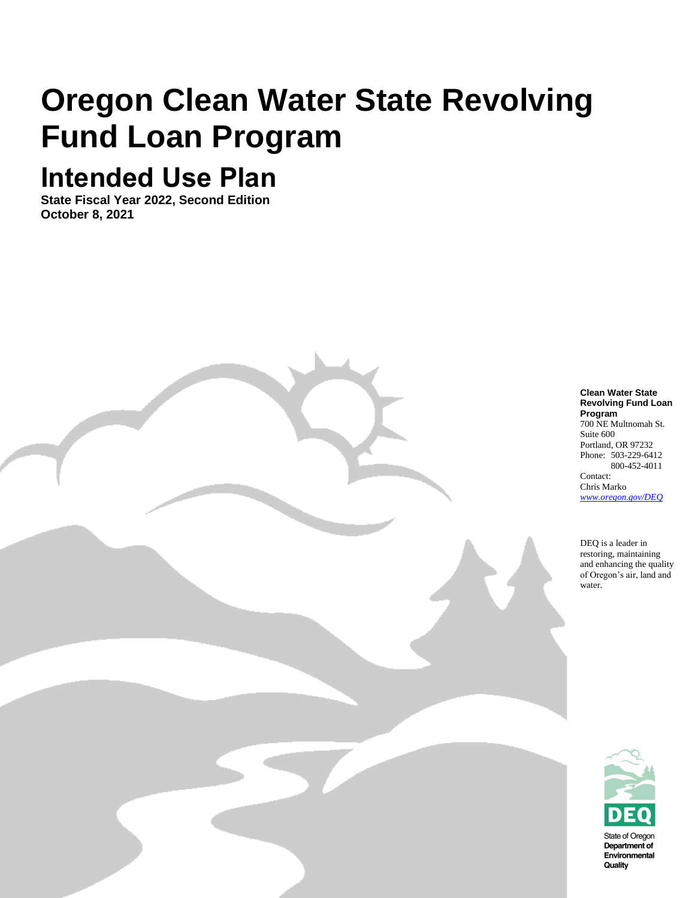# **Oregon Clean Water State Revolving Fund Loan Program**

## **Intended Use Plan**

**State Fiscal Year 2022, Second Edition October 8, 2021**

Oregon Department of Environmental Quality

#### **Clean Water State Revolving Fund Loan Program** 700 NE Multnomah St.

Suite 600 Portland, OR 97232 Phone: 503-229-6412 800-452-4011 Contact:

Chris Marko *[www.oregon.gov/DEQ](file://///deq000/Templates/General/www.oregon.gov/DEQ)*

DEQ is a leader in restoring, maintaining and enhancing the quality of Oregon's air, land and water.

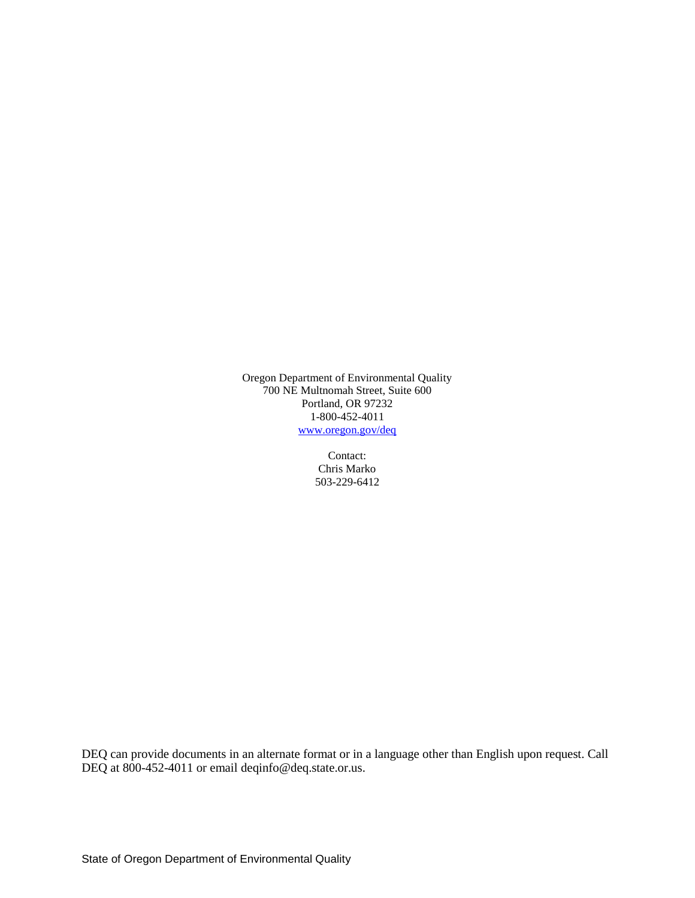Oregon Department of Environmental Quality 700 NE Multnomah Street, Suite 600 Portland, OR 97232 1-800-452-4011 [www.oregon.gov/deq](http://www.oregon.gov/deq)

> Contact: Chris Marko 503-229-6412

DEQ can provide documents in an alternate format or in a language other than English upon request. Call DEQ at 800-452-4011 or email deqinfo@deq.state.or.us.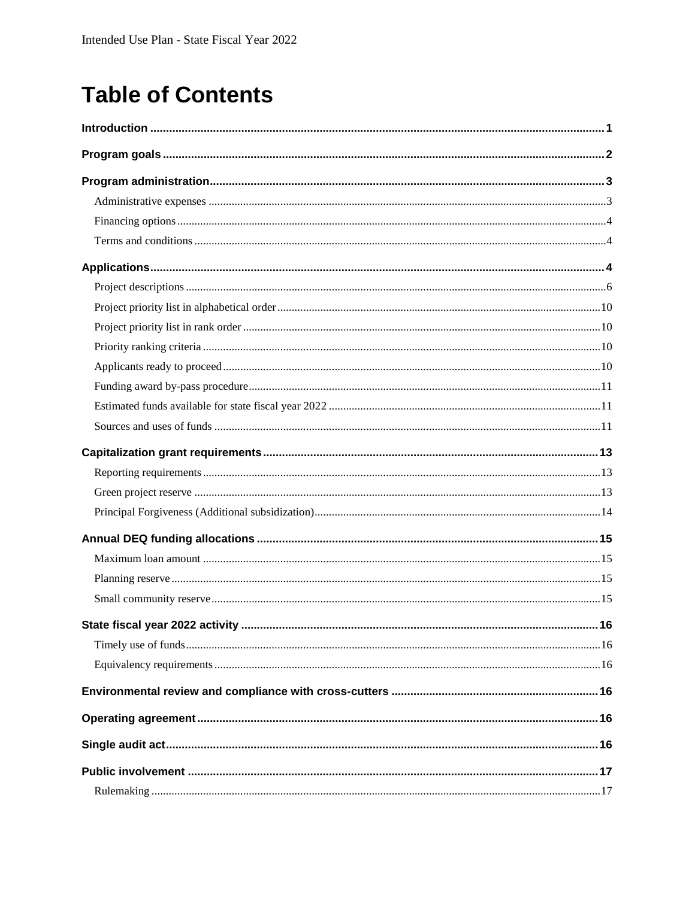## **Table of Contents**

| State fiscal year 2022 activity | 16 |
|---------------------------------|----|
|                                 |    |
|                                 |    |
|                                 |    |
|                                 |    |
|                                 |    |
|                                 |    |
|                                 |    |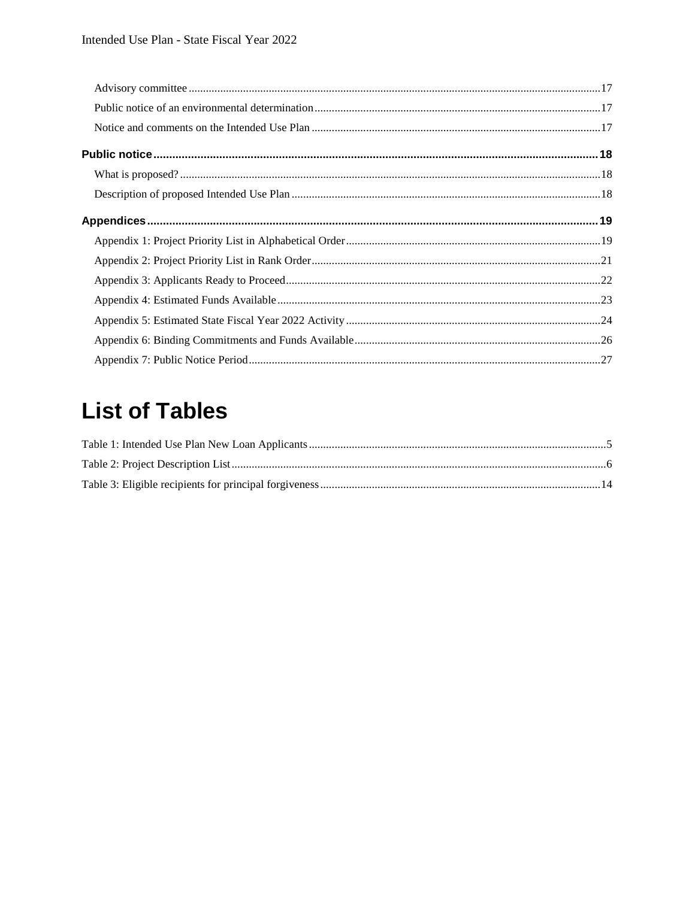## **List of Tables**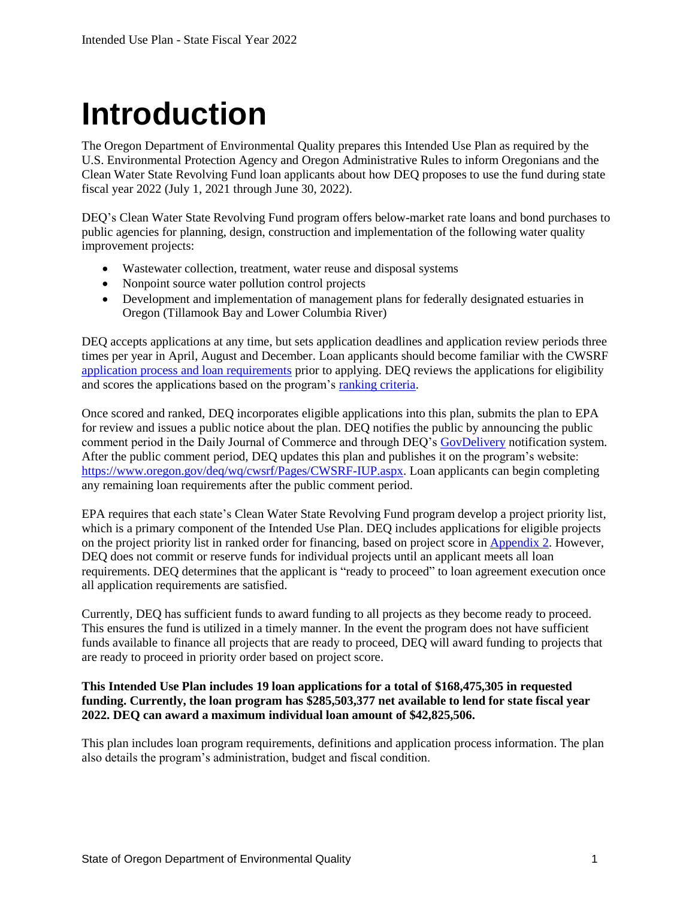# <span id="page-4-0"></span>**Introduction**

The Oregon Department of Environmental Quality prepares this Intended Use Plan as required by the U.S. Environmental Protection Agency and Oregon Administrative Rules to inform Oregonians and the Clean Water State Revolving Fund loan applicants about how DEQ proposes to use the fund during state fiscal year 2022 (July 1, 2021 through June 30, 2022).

DEQ's Clean Water State Revolving Fund program offers below-market rate loans and bond purchases to public agencies for planning, design, construction and implementation of the following water quality improvement projects:

- Wastewater collection, treatment, water reuse and disposal systems
- Nonpoint source water pollution control projects
- Development and implementation of management plans for federally designated estuaries in Oregon (Tillamook Bay and Lower Columbia River)

DEQ accepts applications at any time, but sets application deadlines and application review periods three times per year in April, August and December. Loan applicants should become familiar with the CWSRF [application process and loan requirements](https://www.oregon.gov/deq/wq/cwsrf/Pages/CWSRF-Application.aspx) prior to applying. DEQ reviews the applications for eligibility and scores the applications based on the program's [ranking criteria.](https://secure.sos.state.or.us/oard/viewSingleRule.action;JSESSIONID_OARD=2KL1-34adldcdZhek-7XHNBER9px_Gws5yRGkzLh6yKedNWE50KP!-277278532?ruleVrsnRsn=69747)

Once scored and ranked, DEQ incorporates eligible applications into this plan, submits the plan to EPA for review and issues a public notice about the plan. DEQ notifies the public by announcing the public comment period in the Daily Journal of Commerce and through DEQ's [GovDelivery](https://public.govdelivery.com/accounts/ORDEQ/subscriber/new?topic_id=ORDEQ_397) notification system. After the public comment period, DEQ updates this plan and publishes it on the program's website: [https://www.oregon.gov/deq/wq/cwsrf/Pages/CWSRF-IUP.aspx.](https://www.oregon.gov/deq/wq/cwsrf/Pages/CWSRF-IUP.aspx) Loan applicants can begin completing any remaining loan requirements after the public comment period.

EPA requires that each state's Clean Water State Revolving Fund program develop a project priority list, which is a primary component of the Intended Use Plan. DEQ includes applications for eligible projects on the project priority list in ranked order for financing, based on project score in **Appendix 2**. However, DEQ does not commit or reserve funds for individual projects until an applicant meets all loan requirements. DEQ determines that the applicant is "ready to proceed" to loan agreement execution once all application requirements are satisfied.

Currently, DEQ has sufficient funds to award funding to all projects as they become ready to proceed. This ensures the fund is utilized in a timely manner. In the event the program does not have sufficient funds available to finance all projects that are ready to proceed, DEQ will award funding to projects that are ready to proceed in priority order based on project score.

#### **This Intended Use Plan includes 19 loan applications for a total of \$168,475,305 in requested funding. Currently, the loan program has \$285,503,377 net available to lend for state fiscal year 2022. DEQ can award a maximum individual loan amount of \$42,825,506.**

This plan includes loan program requirements, definitions and application process information. The plan also details the program's administration, budget and fiscal condition.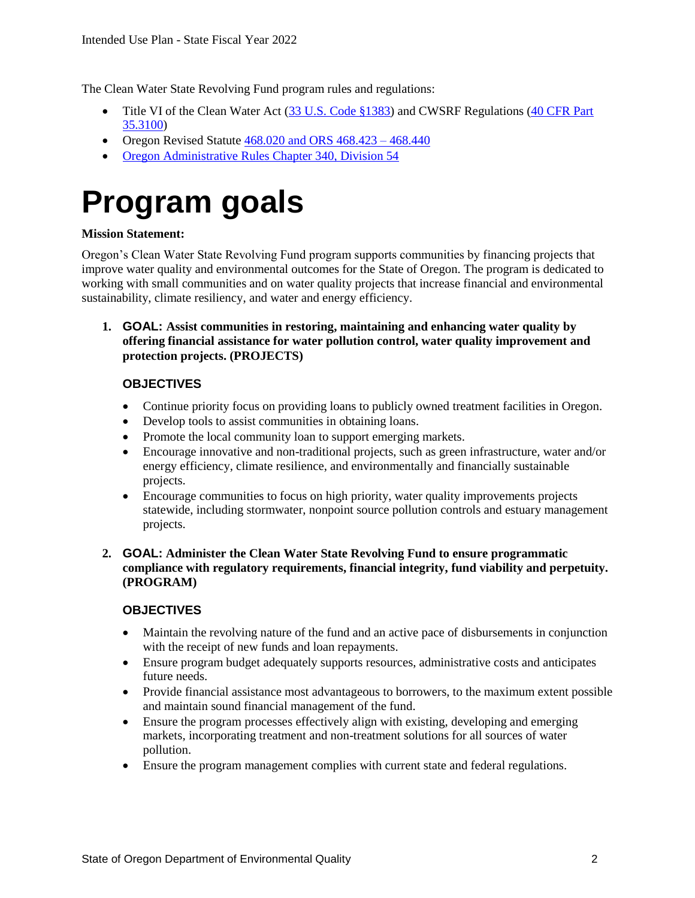The Clean Water State Revolving Fund program rules and regulations:

- Title VI of the Clean Water Act [\(33 U.S. Code §1383\)](http://uscode.house.gov/view.xhtml?req=granuleid:USC-prelim-title33-section1383&num=0&edition=prelim) and CWSRF Regulations [\(40 CFR](https://www.gpo.gov/fdsys/pkg/CFR-2011-title40-vol1/pdf/CFR-2011-title40-vol1-part35-subpartK.pdf) Part [35.310](https://www.gpo.gov/fdsys/pkg/CFR-2011-title40-vol1/pdf/CFR-2011-title40-vol1-part35-subpartK.pdf)0)
- Oregon Revised Statute  $468.020$  and ORS  $468.423 468.440$
- [Oregon Administrative Rules Chapter 340, Division 54](https://secure.sos.state.or.us/oard/displayDivisionRules.action;JSESSIONID_OARD=L9LxOqI4YECOemLLOGk5Xgb226hab9uWLoDy7SALWBDXy4BgVhaa!568786841?selectedDivision=1471)

## <span id="page-5-0"></span>**Program goals**

#### **Mission Statement:**

Oregon's Clean Water State Revolving Fund program supports communities by financing projects that improve water quality and environmental outcomes for the State of Oregon. The program is dedicated to working with small communities and on water quality projects that increase financial and environmental sustainability, climate resiliency, and water and energy efficiency.

#### **1. GOAL: Assist communities in restoring, maintaining and enhancing water quality by offering financial assistance for water pollution control, water quality improvement and protection projects. (PROJECTS)**

#### **OBJECTIVES**

- Continue priority focus on providing loans to publicly owned treatment facilities in Oregon.
- Develop tools to assist communities in obtaining loans.
- Promote the local community loan to support emerging markets.
- Encourage innovative and non-traditional projects, such as green infrastructure, water and/or energy efficiency, climate resilience, and environmentally and financially sustainable projects.
- Encourage communities to focus on high priority, water quality improvements projects statewide, including stormwater, nonpoint source pollution controls and estuary management projects.
- **2. GOAL: Administer the Clean Water State Revolving Fund to ensure programmatic compliance with regulatory requirements, financial integrity, fund viability and perpetuity. (PROGRAM)**

#### **OBJECTIVES**

- Maintain the revolving nature of the fund and an active pace of disbursements in conjunction with the receipt of new funds and loan repayments.
- Ensure program budget adequately supports resources, administrative costs and anticipates future needs.
- Provide financial assistance most advantageous to borrowers, to the maximum extent possible and maintain sound financial management of the fund.
- Ensure the program processes effectively align with existing, developing and emerging markets, incorporating treatment and non-treatment solutions for all sources of water pollution.
- Ensure the program management complies with current state and federal regulations.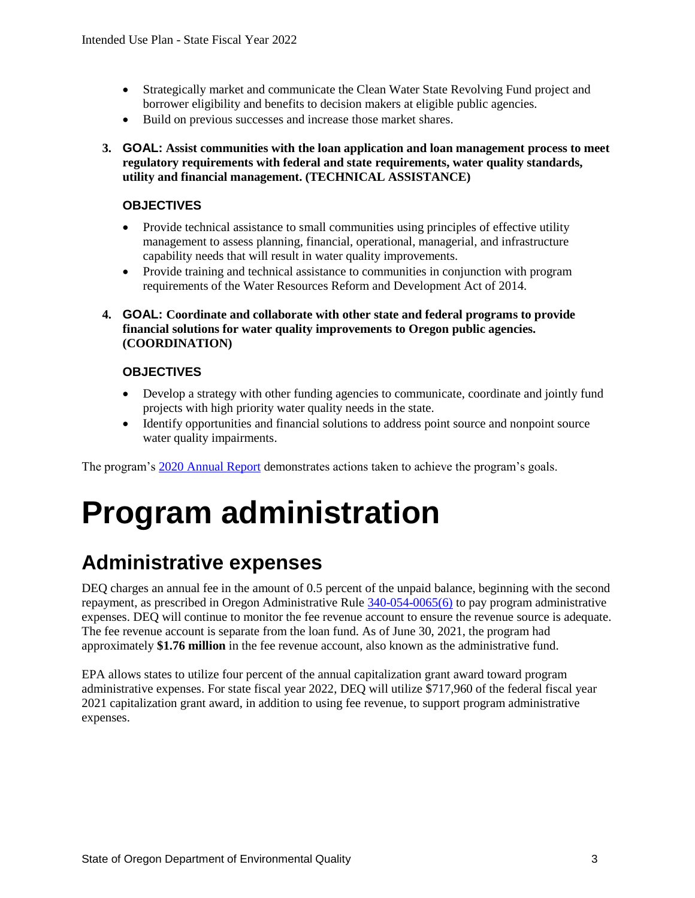- Strategically market and communicate the Clean Water State Revolving Fund project and borrower eligibility and benefits to decision makers at eligible public agencies.
- Build on previous successes and increase those market shares.
- **3. GOAL: Assist communities with the loan application and loan management process to meet regulatory requirements with federal and state requirements, water quality standards, utility and financial management. (TECHNICAL ASSISTANCE)**

#### **OBJECTIVES**

- Provide technical assistance to small communities using principles of effective utility management to assess planning, financial, operational, managerial, and infrastructure capability needs that will result in water quality improvements.
- Provide training and technical assistance to communities in conjunction with program requirements of the Water Resources Reform and Development Act of 2014.
- **4. GOAL: Coordinate and collaborate with other state and federal programs to provide financial solutions for water quality improvements to Oregon public agencies. (COORDINATION)**

#### **OBJECTIVES**

- Develop a strategy with other funding agencies to communicate, coordinate and jointly fund projects with high priority water quality needs in the state.
- Identify opportunities and financial solutions to address point source and nonpoint source water quality impairments.

<span id="page-6-0"></span>The program's [2020 Annual Report](https://www.oregon.gov/deq/wq/Documents/cwsrfAnnualRep2020.pdf) demonstrates actions taken to achieve the program's goals.

## **Program administration**

#### <span id="page-6-1"></span>**Administrative expenses**

DEQ charges an annual fee in the amount of 0.5 percent of the unpaid balance, beginning with the second repayment, as prescribed in Oregon Administrative Rule [340-054-0065\(6\)](https://secure.sos.state.or.us/oard/viewSingleRule.action;JSESSIONID_OARD=gFNxxemUixPP8lolscN13TUOwNcFZw-zE9NJsrCvaLVpgmBFYMTB!746641224?ruleVrsnRsn=235785) to pay program administrative expenses. DEQ will continue to monitor the fee revenue account to ensure the revenue source is adequate. The fee revenue account is separate from the loan fund. As of June 30, 2021, the program had approximately **\$1.76 million** in the fee revenue account, also known as the administrative fund.

EPA allows states to utilize four percent of the annual capitalization grant award toward program administrative expenses. For state fiscal year 2022, DEQ will utilize \$717,960 of the federal fiscal year 2021 capitalization grant award, in addition to using fee revenue, to support program administrative expenses.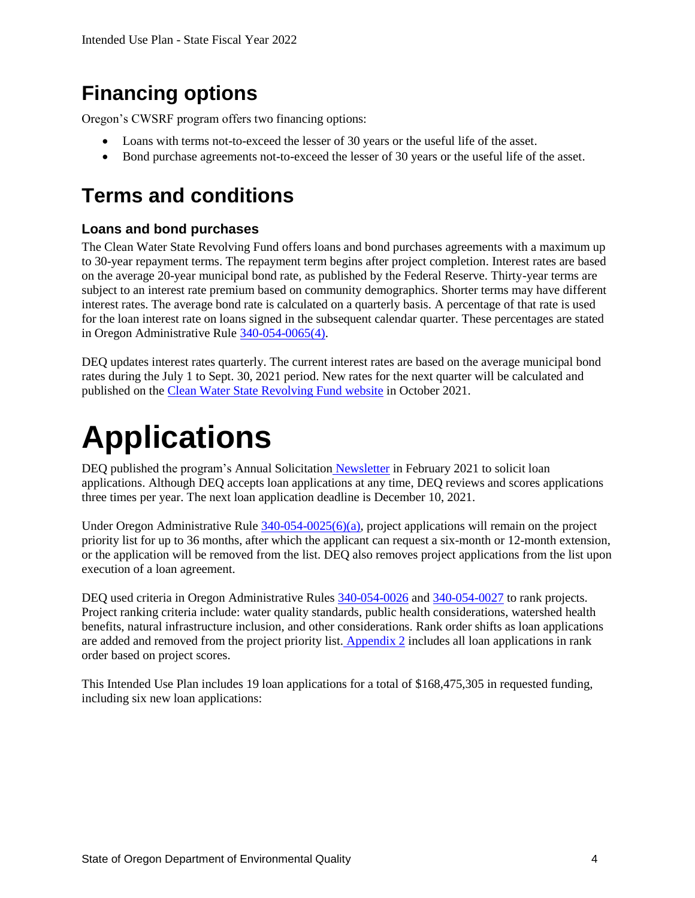### <span id="page-7-0"></span>**Financing options**

Oregon's CWSRF program offers two financing options:

- Loans with terms not-to-exceed the lesser of 30 years or the useful life of the asset.
- Bond purchase agreements not-to-exceed the lesser of 30 years or the useful life of the asset.

#### <span id="page-7-1"></span>**Terms and conditions**

#### **Loans and bond purchases**

The Clean Water State Revolving Fund offers loans and bond purchases agreements with a maximum up to 30-year repayment terms. The repayment term begins after project completion. Interest rates are based on the average 20-year municipal bond rate, as published by the Federal Reserve. Thirty-year terms are subject to an interest rate premium based on community demographics. Shorter terms may have different interest rates. The average bond rate is calculated on a quarterly basis. A percentage of that rate is used for the loan interest rate on loans signed in the subsequent calendar quarter. These percentages are stated in Oregon Administrative Rule [340-054-0065\(4\).](https://secure.sos.state.or.us/oard/viewSingleRule.action?ruleVrsnRsn=235785)

DEQ updates interest rates quarterly. The current interest rates are based on the average municipal bond rates during the July 1 to Sept. 30, 2021 period. New rates for the next quarter will be calculated and published on the [Clean Water State Revolving Fund website](http://www.oregon.gov/deq/wq/cwsrf/Pages/CWSRF-Rates.aspx) in October 2021.

## <span id="page-7-2"></span>**Applications**

DEQ published the program's Annual Solicitation [Newsletter](https://www.oregon.gov/deq/wq/Documents/cwsrfNewsWinter2021.pdf) in February 2021 to solicit loan applications. Although DEQ accepts loan applications at any time, DEQ reviews and scores applications three times per year. The next loan application deadline is December 10, 2021.

Under Oregon Administrative Rule  $340-054-0025(6)(a)$ , project applications will remain on the project priority list for up to 36 months, after which the applicant can request a six-month or 12-month extension, or the application will be removed from the list. DEQ also removes project applications from the list upon execution of a loan agreement.

DEQ used criteria in Oregon Administrative Rules [340-054-0026](https://secure.sos.state.or.us/oard/viewSingleRule.action?ruleVrsnRsn=235776) and [340-054-0027](https://secure.sos.state.or.us/oard/viewSingleRule.action?ruleVrsnRsn=69747) to rank projects. Project ranking criteria include: water quality standards, public health considerations, watershed health benefits, natural infrastructure inclusion, and other considerations. Rank order shifts as loan applications are added and removed from the project priority list. [Appendix 2](#page-23-0) includes all loan applications in rank order based on project scores.

This Intended Use Plan includes 19 loan applications for a total of \$168,475,305 in requested funding, including six new loan applications: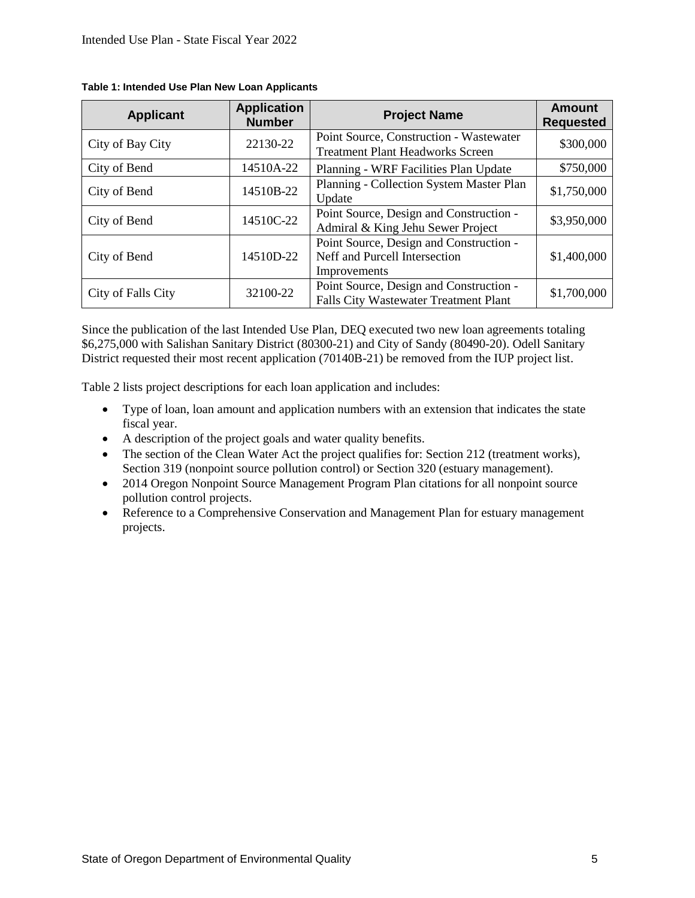| <b>Applicant</b>   | <b>Application</b><br><b>Number</b> | <b>Project Name</b>                                                                      | <b>Amount</b><br><b>Requested</b> |
|--------------------|-------------------------------------|------------------------------------------------------------------------------------------|-----------------------------------|
| City of Bay City   | 22130-22                            | Point Source, Construction - Wastewater<br><b>Treatment Plant Headworks Screen</b>       | \$300,000                         |
| City of Bend       | 14510A-22                           | Planning - WRF Facilities Plan Update                                                    | \$750,000                         |
| City of Bend       | 14510B-22                           | Planning - Collection System Master Plan<br>Update                                       | \$1,750,000                       |
| City of Bend       | 14510C-22                           | Point Source, Design and Construction -<br>Admiral & King Jehu Sewer Project             | \$3,950,000                       |
| City of Bend       | 14510D-22                           | Point Source, Design and Construction -<br>Neff and Purcell Intersection<br>Improvements | \$1,400,000                       |
| City of Falls City | 32100-22                            | Point Source, Design and Construction -<br><b>Falls City Wastewater Treatment Plant</b>  | \$1,700,000                       |

#### <span id="page-8-0"></span>**Table 1: Intended Use Plan New Loan Applicants**

Since the publication of the last Intended Use Plan, DEQ executed two new loan agreements totaling \$6,275,000 with Salishan Sanitary District (80300-21) and City of Sandy (80490-20). Odell Sanitary District requested their most recent application (70140B-21) be removed from the IUP project list.

Table 2 lists project descriptions for each loan application and includes:

- Type of loan, loan amount and application numbers with an extension that indicates the state fiscal year.
- A description of the project goals and water quality benefits.
- The section of the Clean Water Act the project qualifies for: Section 212 (treatment works), Section 319 (nonpoint source pollution control) or Section 320 (estuary management).
- 2014 Oregon Nonpoint Source Management Program Plan citations for all nonpoint source pollution control projects.
- Reference to a Comprehensive Conservation and Management Plan for estuary management projects.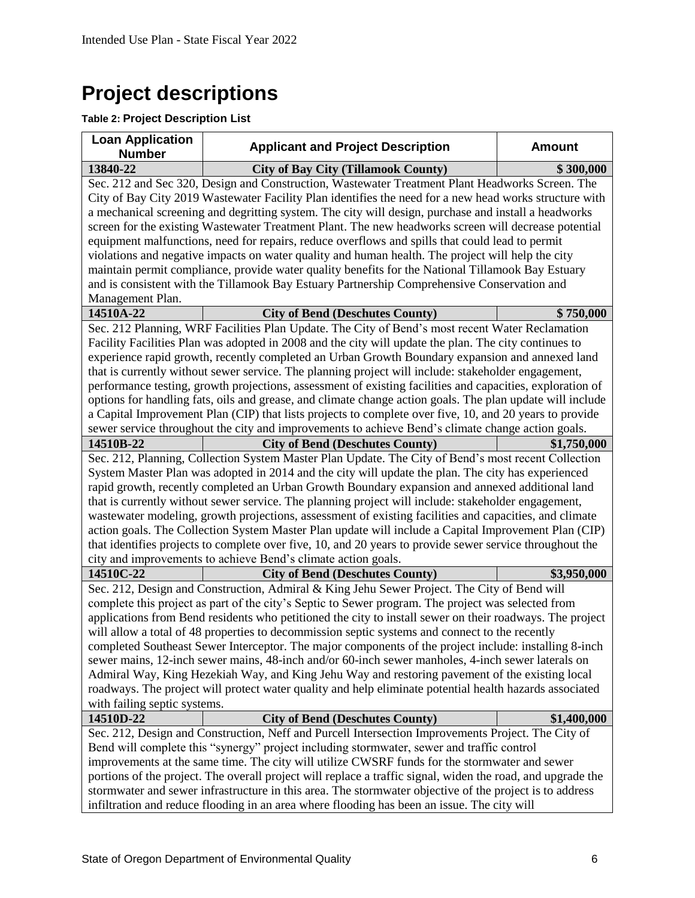## <span id="page-9-0"></span>**Project descriptions**

#### <span id="page-9-1"></span>**Table 2: Project Description List**

| <b>Loan Application</b><br><b>Number</b>                                                                    | <b>Applicant and Project Description</b>                                                                  | <b>Amount</b> |  |  |
|-------------------------------------------------------------------------------------------------------------|-----------------------------------------------------------------------------------------------------------|---------------|--|--|
| 13840-22                                                                                                    | <b>City of Bay City (Tillamook County)</b>                                                                | \$300,000     |  |  |
|                                                                                                             | Sec. 212 and Sec 320, Design and Construction, Wastewater Treatment Plant Headworks Screen. The           |               |  |  |
|                                                                                                             | City of Bay City 2019 Wastewater Facility Plan identifies the need for a new head works structure with    |               |  |  |
|                                                                                                             | a mechanical screening and degritting system. The city will design, purchase and install a headworks      |               |  |  |
|                                                                                                             | screen for the existing Wastewater Treatment Plant. The new headworks screen will decrease potential      |               |  |  |
|                                                                                                             | equipment malfunctions, need for repairs, reduce overflows and spills that could lead to permit           |               |  |  |
|                                                                                                             | violations and negative impacts on water quality and human health. The project will help the city         |               |  |  |
|                                                                                                             | maintain permit compliance, provide water quality benefits for the National Tillamook Bay Estuary         |               |  |  |
|                                                                                                             | and is consistent with the Tillamook Bay Estuary Partnership Comprehensive Conservation and               |               |  |  |
| Management Plan.                                                                                            |                                                                                                           |               |  |  |
| 14510A-22                                                                                                   | <b>City of Bend (Deschutes County)</b>                                                                    | \$750,000     |  |  |
|                                                                                                             | Sec. 212 Planning, WRF Facilities Plan Update. The City of Bend's most recent Water Reclamation           |               |  |  |
|                                                                                                             | Facility Facilities Plan was adopted in 2008 and the city will update the plan. The city continues to     |               |  |  |
|                                                                                                             | experience rapid growth, recently completed an Urban Growth Boundary expansion and annexed land           |               |  |  |
|                                                                                                             | that is currently without sewer service. The planning project will include: stakeholder engagement,       |               |  |  |
|                                                                                                             | performance testing, growth projections, assessment of existing facilities and capacities, exploration of |               |  |  |
|                                                                                                             | options for handling fats, oils and grease, and climate change action goals. The plan update will include |               |  |  |
|                                                                                                             | a Capital Improvement Plan (CIP) that lists projects to complete over five, 10, and 20 years to provide   |               |  |  |
|                                                                                                             | sewer service throughout the city and improvements to achieve Bend's climate change action goals.         |               |  |  |
| 14510B-22                                                                                                   | <b>City of Bend (Deschutes County)</b>                                                                    | \$1,750,000   |  |  |
|                                                                                                             | Sec. 212, Planning, Collection System Master Plan Update. The City of Bend's most recent Collection       |               |  |  |
|                                                                                                             | System Master Plan was adopted in 2014 and the city will update the plan. The city has experienced        |               |  |  |
|                                                                                                             | rapid growth, recently completed an Urban Growth Boundary expansion and annexed additional land           |               |  |  |
|                                                                                                             | that is currently without sewer service. The planning project will include: stakeholder engagement,       |               |  |  |
|                                                                                                             | wastewater modeling, growth projections, assessment of existing facilities and capacities, and climate    |               |  |  |
|                                                                                                             | action goals. The Collection System Master Plan update will include a Capital Improvement Plan (CIP)      |               |  |  |
|                                                                                                             | that identifies projects to complete over five, 10, and 20 years to provide sewer service throughout the  |               |  |  |
|                                                                                                             | city and improvements to achieve Bend's climate action goals.                                             |               |  |  |
| 14510C-22                                                                                                   | <b>City of Bend (Deschutes County)</b>                                                                    | \$3,950,000   |  |  |
|                                                                                                             | Sec. 212, Design and Construction, Admiral & King Jehu Sewer Project. The City of Bend will               |               |  |  |
|                                                                                                             | complete this project as part of the city's Septic to Sewer program. The project was selected from        |               |  |  |
|                                                                                                             | applications from Bend residents who petitioned the city to install sewer on their roadways. The project  |               |  |  |
|                                                                                                             | will allow a total of 48 properties to decommission septic systems and connect to the recently            |               |  |  |
|                                                                                                             | completed Southeast Sewer Interceptor. The major components of the project include: installing 8-inch     |               |  |  |
| sewer mains, 12-inch sewer mains, 48-inch and/or 60-inch sewer manholes, 4-inch sewer laterals on           |                                                                                                           |               |  |  |
|                                                                                                             | Admiral Way, King Hezekiah Way, and King Jehu Way and restoring pavement of the existing local            |               |  |  |
| roadways. The project will protect water quality and help eliminate potential health hazards associated     |                                                                                                           |               |  |  |
| with failing septic systems.                                                                                |                                                                                                           |               |  |  |
| 14510D-22                                                                                                   | <b>City of Bend (Deschutes County)</b>                                                                    | \$1,400,000   |  |  |
| Sec. 212, Design and Construction, Neff and Purcell Intersection Improvements Project. The City of          |                                                                                                           |               |  |  |
|                                                                                                             | Bend will complete this "synergy" project including stormwater, sewer and traffic control                 |               |  |  |
| improvements at the same time. The city will utilize CWSRF funds for the stormwater and sewer               |                                                                                                           |               |  |  |
| portions of the project. The overall project will replace a traffic signal, widen the road, and upgrade the |                                                                                                           |               |  |  |
| stormwater and sewer infrastructure in this area. The stormwater objective of the project is to address     |                                                                                                           |               |  |  |
|                                                                                                             | infiltration and reduce flooding in an area where flooding has been an issue. The city will               |               |  |  |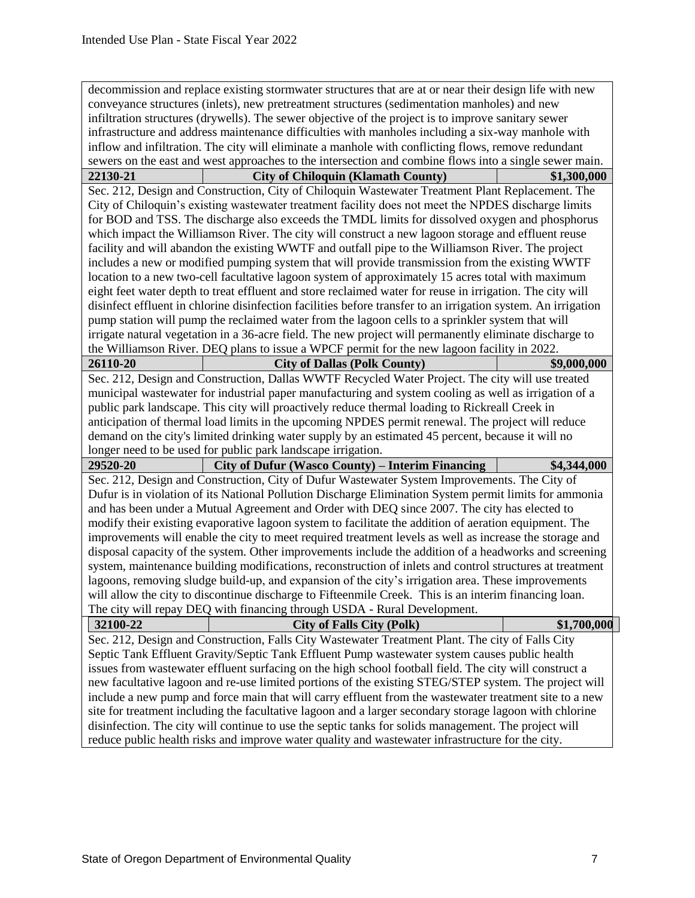|                                                                                                   | decommission and replace existing stormwater structures that are at or near their design life with new                                                                                                          |                                                                                                |  |  |  |
|---------------------------------------------------------------------------------------------------|-----------------------------------------------------------------------------------------------------------------------------------------------------------------------------------------------------------------|------------------------------------------------------------------------------------------------|--|--|--|
| conveyance structures (inlets), new pretreatment structures (sedimentation manholes) and new      |                                                                                                                                                                                                                 |                                                                                                |  |  |  |
|                                                                                                   | infiltration structures (drywells). The sewer objective of the project is to improve sanitary sewer                                                                                                             |                                                                                                |  |  |  |
|                                                                                                   | infrastructure and address maintenance difficulties with manholes including a six-way manhole with                                                                                                              |                                                                                                |  |  |  |
|                                                                                                   | inflow and infiltration. The city will eliminate a manhole with conflicting flows, remove redundant                                                                                                             |                                                                                                |  |  |  |
|                                                                                                   | sewers on the east and west approaches to the intersection and combine flows into a single sewer main.                                                                                                          |                                                                                                |  |  |  |
| 22130-21                                                                                          | <b>City of Chiloquin (Klamath County)</b>                                                                                                                                                                       | \$1,300,000                                                                                    |  |  |  |
|                                                                                                   | Sec. 212, Design and Construction, City of Chiloquin Wastewater Treatment Plant Replacement. The                                                                                                                |                                                                                                |  |  |  |
|                                                                                                   | City of Chiloquin's existing wastewater treatment facility does not meet the NPDES discharge limits                                                                                                             |                                                                                                |  |  |  |
|                                                                                                   | for BOD and TSS. The discharge also exceeds the TMDL limits for dissolved oxygen and phosphorus                                                                                                                 |                                                                                                |  |  |  |
|                                                                                                   | which impact the Williamson River. The city will construct a new lagoon storage and effluent reuse                                                                                                              |                                                                                                |  |  |  |
|                                                                                                   | facility and will abandon the existing WWTF and outfall pipe to the Williamson River. The project                                                                                                               |                                                                                                |  |  |  |
|                                                                                                   | includes a new or modified pumping system that will provide transmission from the existing WWTF                                                                                                                 |                                                                                                |  |  |  |
|                                                                                                   | location to a new two-cell facultative lagoon system of approximately 15 acres total with maximum                                                                                                               |                                                                                                |  |  |  |
|                                                                                                   | eight feet water depth to treat effluent and store reclaimed water for reuse in irrigation. The city will                                                                                                       |                                                                                                |  |  |  |
|                                                                                                   | disinfect effluent in chlorine disinfection facilities before transfer to an irrigation system. An irrigation                                                                                                   |                                                                                                |  |  |  |
|                                                                                                   | pump station will pump the reclaimed water from the lagoon cells to a sprinkler system that will                                                                                                                |                                                                                                |  |  |  |
|                                                                                                   | irrigate natural vegetation in a 36-acre field. The new project will permanently eliminate discharge to                                                                                                         |                                                                                                |  |  |  |
|                                                                                                   | the Williamson River. DEQ plans to issue a WPCF permit for the new lagoon facility in 2022.                                                                                                                     |                                                                                                |  |  |  |
| 26110-20                                                                                          | <b>City of Dallas (Polk County)</b>                                                                                                                                                                             | \$9,000,000                                                                                    |  |  |  |
|                                                                                                   | Sec. 212, Design and Construction, Dallas WWTF Recycled Water Project. The city will use treated                                                                                                                |                                                                                                |  |  |  |
|                                                                                                   | municipal wastewater for industrial paper manufacturing and system cooling as well as irrigation of a                                                                                                           |                                                                                                |  |  |  |
|                                                                                                   |                                                                                                                                                                                                                 | public park landscape. This city will proactively reduce thermal loading to Rickreall Creek in |  |  |  |
| anticipation of thermal load limits in the upcoming NPDES permit renewal. The project will reduce |                                                                                                                                                                                                                 |                                                                                                |  |  |  |
|                                                                                                   |                                                                                                                                                                                                                 |                                                                                                |  |  |  |
|                                                                                                   |                                                                                                                                                                                                                 |                                                                                                |  |  |  |
|                                                                                                   | demand on the city's limited drinking water supply by an estimated 45 percent, because it will no                                                                                                               |                                                                                                |  |  |  |
| 29520-20                                                                                          | longer need to be used for public park landscape irrigation.                                                                                                                                                    | \$4,344,000                                                                                    |  |  |  |
|                                                                                                   | <b>City of Dufur (Wasco County) – Interim Financing</b>                                                                                                                                                         |                                                                                                |  |  |  |
|                                                                                                   | Sec. 212, Design and Construction, City of Dufur Wastewater System Improvements. The City of                                                                                                                    |                                                                                                |  |  |  |
|                                                                                                   | Dufur is in violation of its National Pollution Discharge Elimination System permit limits for ammonia                                                                                                          |                                                                                                |  |  |  |
|                                                                                                   | and has been under a Mutual Agreement and Order with DEQ since 2007. The city has elected to                                                                                                                    |                                                                                                |  |  |  |
|                                                                                                   | modify their existing evaporative lagoon system to facilitate the addition of aeration equipment. The                                                                                                           |                                                                                                |  |  |  |
|                                                                                                   | improvements will enable the city to meet required treatment levels as well as increase the storage and                                                                                                         |                                                                                                |  |  |  |
|                                                                                                   | disposal capacity of the system. Other improvements include the addition of a headworks and screening                                                                                                           |                                                                                                |  |  |  |
|                                                                                                   | system, maintenance building modifications, reconstruction of inlets and control structures at treatment                                                                                                        |                                                                                                |  |  |  |
|                                                                                                   | lagoons, removing sludge build-up, and expansion of the city's irrigation area. These improvements                                                                                                              |                                                                                                |  |  |  |
|                                                                                                   | will allow the city to discontinue discharge to Fifteenmile Creek. This is an interim financing loan.                                                                                                           |                                                                                                |  |  |  |
|                                                                                                   | The city will repay DEQ with financing through USDA - Rural Development.                                                                                                                                        |                                                                                                |  |  |  |
| 32100-22                                                                                          | <b>City of Falls City (Polk)</b>                                                                                                                                                                                | \$1,700,000                                                                                    |  |  |  |
|                                                                                                   | Sec. 212, Design and Construction, Falls City Wastewater Treatment Plant. The city of Falls City                                                                                                                |                                                                                                |  |  |  |
|                                                                                                   | Septic Tank Effluent Gravity/Septic Tank Effluent Pump wastewater system causes public health                                                                                                                   |                                                                                                |  |  |  |
|                                                                                                   | issues from wastewater effluent surfacing on the high school football field. The city will construct a                                                                                                          |                                                                                                |  |  |  |
|                                                                                                   | new facultative lagoon and re-use limited portions of the existing STEG/STEP system. The project will                                                                                                           |                                                                                                |  |  |  |
|                                                                                                   | include a new pump and force main that will carry effluent from the wastewater treatment site to a new                                                                                                          |                                                                                                |  |  |  |
|                                                                                                   | site for treatment including the facultative lagoon and a larger secondary storage lagoon with chlorine<br>disinfection. The city will continue to use the septic tanks for solids management. The project will |                                                                                                |  |  |  |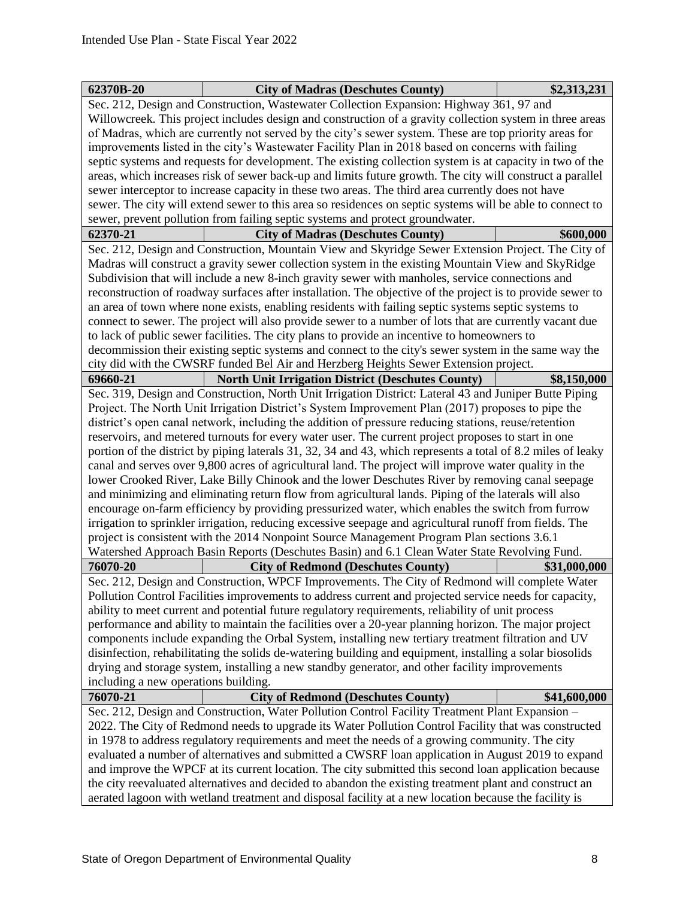| 62370B-20                                                                                                                                                                                                       | <b>City of Madras (Deschutes County)</b>                                                                     | \$2,313,231  |  |  |
|-----------------------------------------------------------------------------------------------------------------------------------------------------------------------------------------------------------------|--------------------------------------------------------------------------------------------------------------|--------------|--|--|
|                                                                                                                                                                                                                 | Sec. 212, Design and Construction, Wastewater Collection Expansion: Highway 361, 97 and                      |              |  |  |
| Willowcreek. This project includes design and construction of a gravity collection system in three areas                                                                                                        |                                                                                                              |              |  |  |
| of Madras, which are currently not served by the city's sewer system. These are top priority areas for                                                                                                          |                                                                                                              |              |  |  |
|                                                                                                                                                                                                                 | improvements listed in the city's Wastewater Facility Plan in 2018 based on concerns with failing            |              |  |  |
|                                                                                                                                                                                                                 | septic systems and requests for development. The existing collection system is at capacity in two of the     |              |  |  |
|                                                                                                                                                                                                                 | areas, which increases risk of sewer back-up and limits future growth. The city will construct a parallel    |              |  |  |
|                                                                                                                                                                                                                 | sewer interceptor to increase capacity in these two areas. The third area currently does not have            |              |  |  |
|                                                                                                                                                                                                                 | sewer. The city will extend sewer to this area so residences on septic systems will be able to connect to    |              |  |  |
|                                                                                                                                                                                                                 | sewer, prevent pollution from failing septic systems and protect groundwater.                                |              |  |  |
| 62370-21                                                                                                                                                                                                        | <b>City of Madras (Deschutes County)</b>                                                                     | \$600,000    |  |  |
|                                                                                                                                                                                                                 | Sec. 212, Design and Construction, Mountain View and Skyridge Sewer Extension Project. The City of           |              |  |  |
|                                                                                                                                                                                                                 | Madras will construct a gravity sewer collection system in the existing Mountain View and SkyRidge           |              |  |  |
|                                                                                                                                                                                                                 | Subdivision that will include a new 8-inch gravity sewer with manholes, service connections and              |              |  |  |
|                                                                                                                                                                                                                 | reconstruction of roadway surfaces after installation. The objective of the project is to provide sewer to   |              |  |  |
|                                                                                                                                                                                                                 | an area of town where none exists, enabling residents with failing septic systems septic systems to          |              |  |  |
|                                                                                                                                                                                                                 | connect to sewer. The project will also provide sewer to a number of lots that are currently vacant due      |              |  |  |
|                                                                                                                                                                                                                 | to lack of public sewer facilities. The city plans to provide an incentive to homeowners to                  |              |  |  |
|                                                                                                                                                                                                                 | decommission their existing septic systems and connect to the city's sewer system in the same way the        |              |  |  |
|                                                                                                                                                                                                                 | city did with the CWSRF funded Bel Air and Herzberg Heights Sewer Extension project.                         |              |  |  |
| 69660-21                                                                                                                                                                                                        | <b>North Unit Irrigation District (Deschutes County)</b>                                                     | \$8,150,000  |  |  |
|                                                                                                                                                                                                                 | Sec. 319, Design and Construction, North Unit Irrigation District: Lateral 43 and Juniper Butte Piping       |              |  |  |
|                                                                                                                                                                                                                 | Project. The North Unit Irrigation District's System Improvement Plan (2017) proposes to pipe the            |              |  |  |
|                                                                                                                                                                                                                 | district's open canal network, including the addition of pressure reducing stations, reuse/retention         |              |  |  |
|                                                                                                                                                                                                                 | reservoirs, and metered turnouts for every water user. The current project proposes to start in one          |              |  |  |
|                                                                                                                                                                                                                 | portion of the district by piping laterals 31, 32, 34 and 43, which represents a total of 8.2 miles of leaky |              |  |  |
|                                                                                                                                                                                                                 | canal and serves over 9,800 acres of agricultural land. The project will improve water quality in the        |              |  |  |
| lower Crooked River, Lake Billy Chinook and the lower Deschutes River by removing canal seepage                                                                                                                 |                                                                                                              |              |  |  |
|                                                                                                                                                                                                                 | and minimizing and eliminating return flow from agricultural lands. Piping of the laterals will also         |              |  |  |
|                                                                                                                                                                                                                 | encourage on-farm efficiency by providing pressurized water, which enables the switch from furrow            |              |  |  |
|                                                                                                                                                                                                                 | irrigation to sprinkler irrigation, reducing excessive seepage and agricultural runoff from fields. The      |              |  |  |
|                                                                                                                                                                                                                 | project is consistent with the 2014 Nonpoint Source Management Program Plan sections 3.6.1                   |              |  |  |
|                                                                                                                                                                                                                 | Watershed Approach Basin Reports (Deschutes Basin) and 6.1 Clean Water State Revolving Fund.                 |              |  |  |
| 76070-20                                                                                                                                                                                                        | <b>City of Redmond (Deschutes County)</b>                                                                    | \$31,000,000 |  |  |
|                                                                                                                                                                                                                 | Sec. 212, Design and Construction, WPCF Improvements. The City of Redmond will complete Water                |              |  |  |
|                                                                                                                                                                                                                 | Pollution Control Facilities improvements to address current and projected service needs for capacity,       |              |  |  |
| ability to meet current and potential future regulatory requirements, reliability of unit process                                                                                                               |                                                                                                              |              |  |  |
| performance and ability to maintain the facilities over a 20-year planning horizon. The major project                                                                                                           |                                                                                                              |              |  |  |
| components include expanding the Orbal System, installing new tertiary treatment filtration and UV                                                                                                              |                                                                                                              |              |  |  |
| disinfection, rehabilitating the solids de-watering building and equipment, installing a solar biosolids                                                                                                        |                                                                                                              |              |  |  |
| drying and storage system, installing a new standby generator, and other facility improvements                                                                                                                  |                                                                                                              |              |  |  |
| including a new operations building.                                                                                                                                                                            |                                                                                                              |              |  |  |
| 76070-21                                                                                                                                                                                                        | <b>City of Redmond (Deschutes County)</b>                                                                    | \$41,600,000 |  |  |
|                                                                                                                                                                                                                 | Sec. 212, Design and Construction, Water Pollution Control Facility Treatment Plant Expansion -              |              |  |  |
|                                                                                                                                                                                                                 | 2022. The City of Redmond needs to upgrade its Water Pollution Control Facility that was constructed         |              |  |  |
|                                                                                                                                                                                                                 | in 1978 to address regulatory requirements and meet the needs of a growing community. The city               |              |  |  |
| evaluated a number of alternatives and submitted a CWSRF loan application in August 2019 to expand                                                                                                              |                                                                                                              |              |  |  |
| and improve the WPCF at its current location. The city submitted this second loan application because<br>the city reevaluated alternatives and decided to abandon the existing treatment plant and construct an |                                                                                                              |              |  |  |
|                                                                                                                                                                                                                 |                                                                                                              |              |  |  |
|                                                                                                                                                                                                                 | aerated lagoon with wetland treatment and disposal facility at a new location because the facility is        |              |  |  |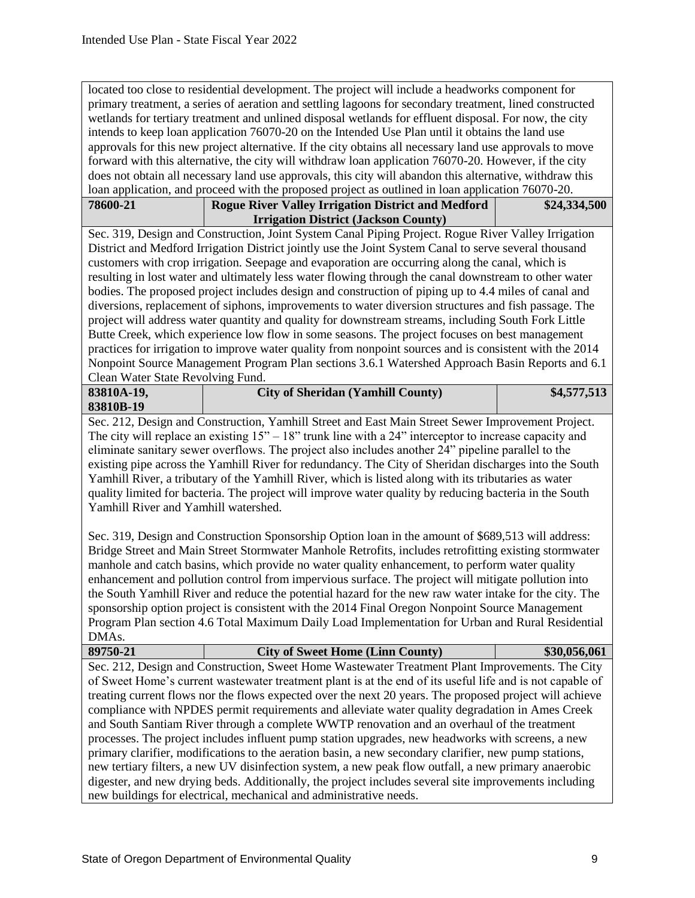located too close to residential development. The project will include a headworks component for primary treatment, a series of aeration and settling lagoons for secondary treatment, lined constructed wetlands for tertiary treatment and unlined disposal wetlands for effluent disposal. For now, the city intends to keep loan application 76070-20 on the Intended Use Plan until it obtains the land use approvals for this new project alternative. If the city obtains all necessary land use approvals to move forward with this alternative, the city will withdraw loan application 76070-20. However, if the city does not obtain all necessary land use approvals, this city will abandon this alternative, withdraw this loan application, and proceed with the proposed project as outlined in loan application 76070-20.

| 78600-21 | <b>Rogue River Valley Irrigation District and Medford</b> | \$24,334,500 |
|----------|-----------------------------------------------------------|--------------|
|          | <b>Irrigation District (Jackson County)</b>               |              |

Sec. 319, Design and Construction, Joint System Canal Piping Project. Rogue River Valley Irrigation District and Medford Irrigation District jointly use the Joint System Canal to serve several thousand customers with crop irrigation. Seepage and evaporation are occurring along the canal, which is resulting in lost water and ultimately less water flowing through the canal downstream to other water bodies. The proposed project includes design and construction of piping up to 4.4 miles of canal and diversions, replacement of siphons, improvements to water diversion structures and fish passage. The project will address water quantity and quality for downstream streams, including South Fork Little Butte Creek, which experience low flow in some seasons. The project focuses on best management practices for irrigation to improve water quality from nonpoint sources and is consistent with the 2014 Nonpoint Source Management Program Plan sections 3.6.1 Watershed Approach Basin Reports and 6.1 Clean Water State Revolving Fund.

| 83810A-19,                  | <b>City of Sheridan (Yamhill County)</b>                                                               | \$4,577,513 |
|-----------------------------|--------------------------------------------------------------------------------------------------------|-------------|
| 83810B-19                   |                                                                                                        |             |
| $\sim$ $\sim$ $\sim$ $\sim$ | $1.11 \, \text{C}$<br>$\sim$ 1 $\blacksquare$ $\blacksquare$ $\blacksquare$ $\blacksquare$<br><b>T</b> |             |

Sec. 212, Design and Construction, Yamhill Street and East Main Street Sewer Improvement Project. The city will replace an existing  $15" - 18"$  trunk line with a 24" interceptor to increase capacity and eliminate sanitary sewer overflows. The project also includes another 24" pipeline parallel to the existing pipe across the Yamhill River for redundancy. The City of Sheridan discharges into the South Yamhill River, a tributary of the Yamhill River, which is listed along with its tributaries as water quality limited for bacteria. The project will improve water quality by reducing bacteria in the South Yamhill River and Yamhill watershed.

Sec. 319, Design and Construction Sponsorship Option loan in the amount of \$689,513 will address: Bridge Street and Main Street Stormwater Manhole Retrofits, includes retrofitting existing stormwater manhole and catch basins, which provide no water quality enhancement, to perform water quality enhancement and pollution control from impervious surface. The project will mitigate pollution into the South Yamhill River and reduce the potential hazard for the new raw water intake for the city. The sponsorship option project is consistent with the 2014 Final Oregon Nonpoint Source Management Program Plan section 4.6 Total Maximum Daily Load Implementation for Urban and Rural Residential DMAs.

| 89750-21                                                                                                | <b>City of Sweet Home (Linn County)</b>                                                                    | \$30,056,061 |  |
|---------------------------------------------------------------------------------------------------------|------------------------------------------------------------------------------------------------------------|--------------|--|
| Sec. 212, Design and Construction, Sweet Home Wastewater Treatment Plant Improvements. The City         |                                                                                                            |              |  |
|                                                                                                         | of Sweet Home's current was tewater treatment plant is at the end of its useful life and is not capable of |              |  |
| treating current flows nor the flows expected over the next 20 years. The proposed project will achieve |                                                                                                            |              |  |
| compliance with NPDES permit requirements and alleviate water quality degradation in Ames Creek         |                                                                                                            |              |  |
| and South Santiam River through a complete WWTP renovation and an overhaul of the treatment             |                                                                                                            |              |  |
| processes. The project includes influent pump station upgrades, new headworks with screens, a new       |                                                                                                            |              |  |
| primary clarifier, modifications to the aeration basin, a new secondary clarifier, new pump stations,   |                                                                                                            |              |  |
| new tertiary filters, a new UV disinfection system, a new peak flow outfall, a new primary anaerobic    |                                                                                                            |              |  |
|                                                                                                         | digester, and new drying beds. Additionally, the project includes several site improvements including      |              |  |
|                                                                                                         | new buildings for electrical, mechanical and administrative needs.                                         |              |  |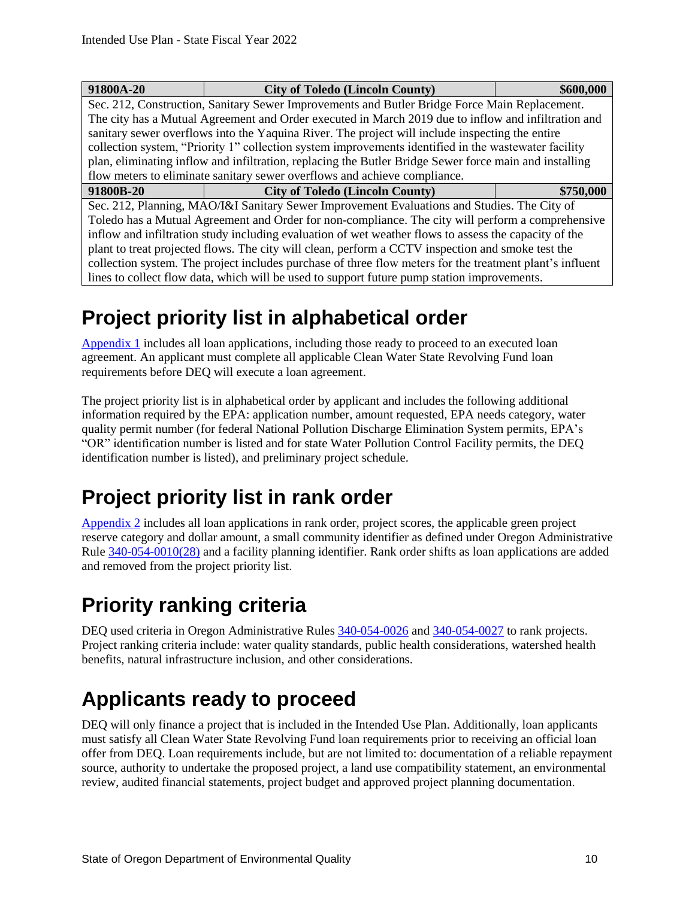| 91800A-20                                                                                                | <b>City of Toledo (Lincoln County)</b>                                                               | \$600,000 |  |  |
|----------------------------------------------------------------------------------------------------------|------------------------------------------------------------------------------------------------------|-----------|--|--|
|                                                                                                          | Sec. 212, Construction, Sanitary Sewer Improvements and Butler Bridge Force Main Replacement.        |           |  |  |
|                                                                                                          | The city has a Mutual Agreement and Order executed in March 2019 due to inflow and infiltration and  |           |  |  |
|                                                                                                          | sanitary sewer overflows into the Yaquina River. The project will include inspecting the entire      |           |  |  |
|                                                                                                          | collection system, "Priority 1" collection system improvements identified in the wastewater facility |           |  |  |
| plan, eliminating inflow and infiltration, replacing the Butler Bridge Sewer force main and installing   |                                                                                                      |           |  |  |
|                                                                                                          | flow meters to eliminate sanitary sewer overflows and achieve compliance.                            |           |  |  |
| 91800B-20                                                                                                | <b>City of Toledo (Lincoln County)</b>                                                               | \$750,000 |  |  |
| Sec. 212, Planning, MAO/I&I Sanitary Sewer Improvement Evaluations and Studies. The City of              |                                                                                                      |           |  |  |
| Toledo has a Mutual Agreement and Order for non-compliance. The city will perform a comprehensive        |                                                                                                      |           |  |  |
| inflow and infiltration study including evaluation of wet weather flows to assess the capacity of the    |                                                                                                      |           |  |  |
| plant to treat projected flows. The city will clean, perform a CCTV inspection and smoke test the        |                                                                                                      |           |  |  |
| collection system. The project includes purchase of three flow meters for the treatment plant's influent |                                                                                                      |           |  |  |
|                                                                                                          | lines to collect flow data, which will be used to support future pump station improvements.          |           |  |  |

### <span id="page-13-0"></span>**Project priority list in alphabetical order**

[Appendix 1](#page-22-1) includes all loan applications, including those ready to proceed to an executed loan agreement. An applicant must complete all applicable Clean Water State Revolving Fund loan requirements before DEQ will execute a loan agreement.

The project priority list is in alphabetical order by applicant and includes the following additional information required by the EPA: application number, amount requested, EPA needs category, water quality permit number (for federal National Pollution Discharge Elimination System permits, EPA's "OR" identification number is listed and for state Water Pollution Control Facility permits, the DEQ identification number is listed), and preliminary project schedule.

### <span id="page-13-1"></span>**Project priority list in rank order**

[Appendix 2](#page-23-0) includes all loan applications in rank order, project scores, the applicable green project reserve category and dollar amount, a small community identifier as defined under Oregon Administrative Rule [340-054-0010\(28\)](https://secure.sos.state.or.us/oard/viewSingleRule.action?ruleVrsnRsn=242189) and a facility planning identifier. Rank order shifts as loan applications are added and removed from the project priority list.

### <span id="page-13-2"></span>**Priority ranking criteria**

DEQ used criteria in Oregon Administrative Rules  $340-054-0026$  and  $340-054-0027$  to rank projects. Project ranking criteria include: water quality standards, public health considerations, watershed health benefits, natural infrastructure inclusion, and other considerations.

### <span id="page-13-3"></span>**Applicants ready to proceed**

DEQ will only finance a project that is included in the Intended Use Plan. Additionally, loan applicants must satisfy all Clean Water State Revolving Fund loan requirements prior to receiving an official loan offer from DEQ. Loan requirements include, but are not limited to: documentation of a reliable repayment source, authority to undertake the proposed project, a land use compatibility statement, an environmental review, audited financial statements, project budget and approved project planning documentation.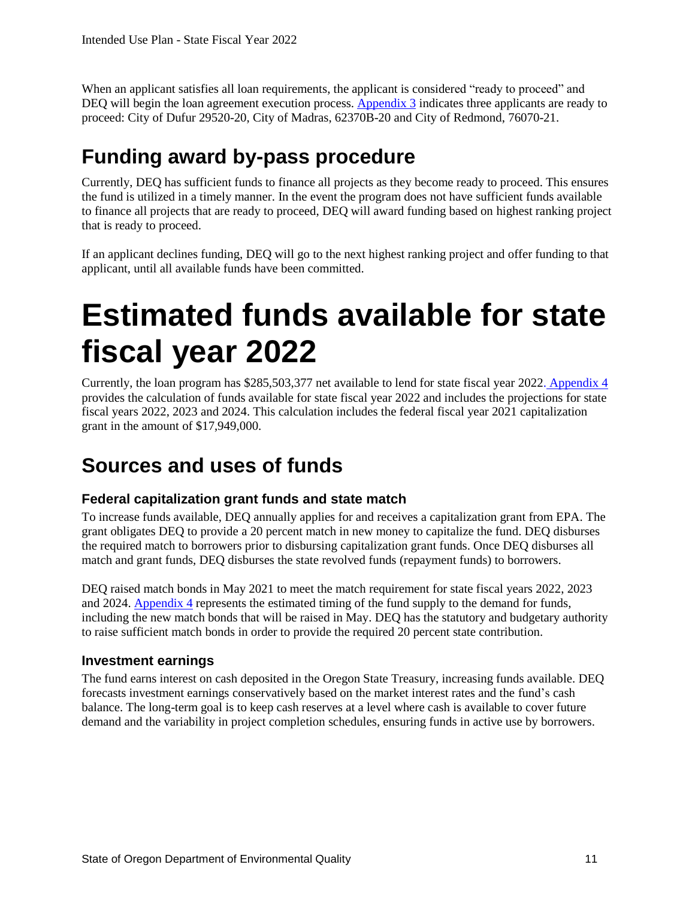When an applicant satisfies all loan requirements, the applicant is considered "ready to proceed" and DEQ will begin the loan agreement execution process. [Appendix 3](#page-24-1) indicates three applicants are ready to proceed: City of Dufur 29520-20, City of Madras, 62370B-20 and City of Redmond, 76070-21.

#### <span id="page-14-0"></span>**Funding award by-pass procedure**

Currently, DEQ has sufficient funds to finance all projects as they become ready to proceed. This ensures the fund is utilized in a timely manner. In the event the program does not have sufficient funds available to finance all projects that are ready to proceed, DEQ will award funding based on highest ranking project that is ready to proceed.

If an applicant declines funding, DEQ will go to the next highest ranking project and offer funding to that applicant, until all available funds have been committed.

## <span id="page-14-1"></span>**Estimated funds available for state fiscal year 2022**

Currently, the loan program has \$285,503,377 net available to lend for state fiscal year 2022. [Appendix 4](#page-25-1) provides the calculation of funds available for state fiscal year 2022 and includes the projections for state fiscal years 2022, 2023 and 2024. This calculation includes the federal fiscal year 2021 capitalization grant in the amount of \$17,949,000.

#### <span id="page-14-2"></span>**Sources and uses of funds**

#### **Federal capitalization grant funds and state match**

To increase funds available, DEQ annually applies for and receives a capitalization grant from EPA. The grant obligates DEQ to provide a 20 percent match in new money to capitalize the fund. DEQ disburses the required match to borrowers prior to disbursing capitalization grant funds. Once DEQ disburses all match and grant funds, DEQ disburses the state revolved funds (repayment funds) to borrowers.

DEQ raised match bonds in May 2021 to meet the match requirement for state fiscal years 2022, 2023 and 2024. [Appendix 4](#page-25-1) represents the estimated timing of the fund supply to the demand for funds, including the new match bonds that will be raised in May. DEQ has the statutory and budgetary authority to raise sufficient match bonds in order to provide the required 20 percent state contribution.

#### **Investment earnings**

The fund earns interest on cash deposited in the Oregon State Treasury, increasing funds available. DEQ forecasts investment earnings conservatively based on the market interest rates and the fund's cash balance. The long-term goal is to keep cash reserves at a level where cash is available to cover future demand and the variability in project completion schedules, ensuring funds in active use by borrowers.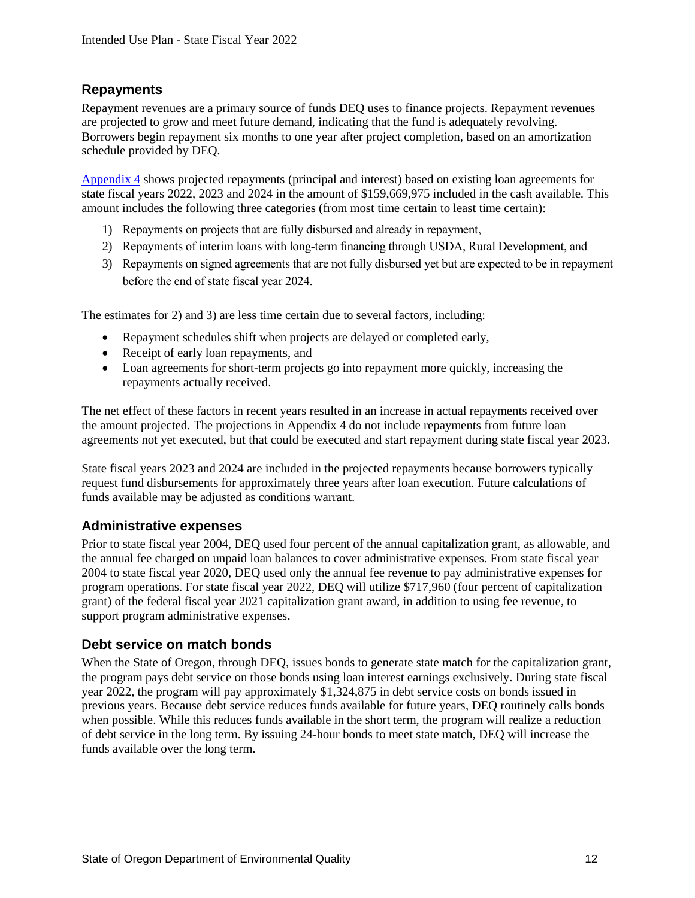#### **Repayments**

Repayment revenues are a primary source of funds DEQ uses to finance projects. Repayment revenues are projected to grow and meet future demand, indicating that the fund is adequately revolving. Borrowers begin repayment six months to one year after project completion, based on an amortization schedule provided by DEQ.

[Appendix 4](#page-25-1) shows projected repayments (principal and interest) based on existing loan agreements for state fiscal years 2022, 2023 and 2024 in the amount of \$159,669,975 included in the cash available. This amount includes the following three categories (from most time certain to least time certain):

- 1) Repayments on projects that are fully disbursed and already in repayment,
- 2) Repayments of interim loans with long-term financing through USDA, Rural Development, and
- 3) Repayments on signed agreements that are not fully disbursed yet but are expected to be in repayment before the end of state fiscal year 2024.

The estimates for 2) and 3) are less time certain due to several factors, including:

- Repayment schedules shift when projects are delayed or completed early,
- Receipt of early loan repayments, and
- Loan agreements for short-term projects go into repayment more quickly, increasing the repayments actually received.

The net effect of these factors in recent years resulted in an increase in actual repayments received over the amount projected. The projections in Appendix 4 do not include repayments from future loan agreements not yet executed, but that could be executed and start repayment during state fiscal year 2023.

State fiscal years 2023 and 2024 are included in the projected repayments because borrowers typically request fund disbursements for approximately three years after loan execution. Future calculations of funds available may be adjusted as conditions warrant.

#### **Administrative expenses**

Prior to state fiscal year 2004, DEQ used four percent of the annual capitalization grant, as allowable, and the annual fee charged on unpaid loan balances to cover administrative expenses. From state fiscal year 2004 to state fiscal year 2020, DEQ used only the annual fee revenue to pay administrative expenses for program operations. For state fiscal year 2022, DEQ will utilize \$717,960 (four percent of capitalization grant) of the federal fiscal year 2021 capitalization grant award, in addition to using fee revenue, to support program administrative expenses.

#### **Debt service on match bonds**

When the State of Oregon, through DEO, issues bonds to generate state match for the capitalization grant, the program pays debt service on those bonds using loan interest earnings exclusively. During state fiscal year 2022, the program will pay approximately \$1,324,875 in debt service costs on bonds issued in previous years. Because debt service reduces funds available for future years, DEQ routinely calls bonds when possible. While this reduces funds available in the short term, the program will realize a reduction of debt service in the long term. By issuing 24-hour bonds to meet state match, DEQ will increase the funds available over the long term.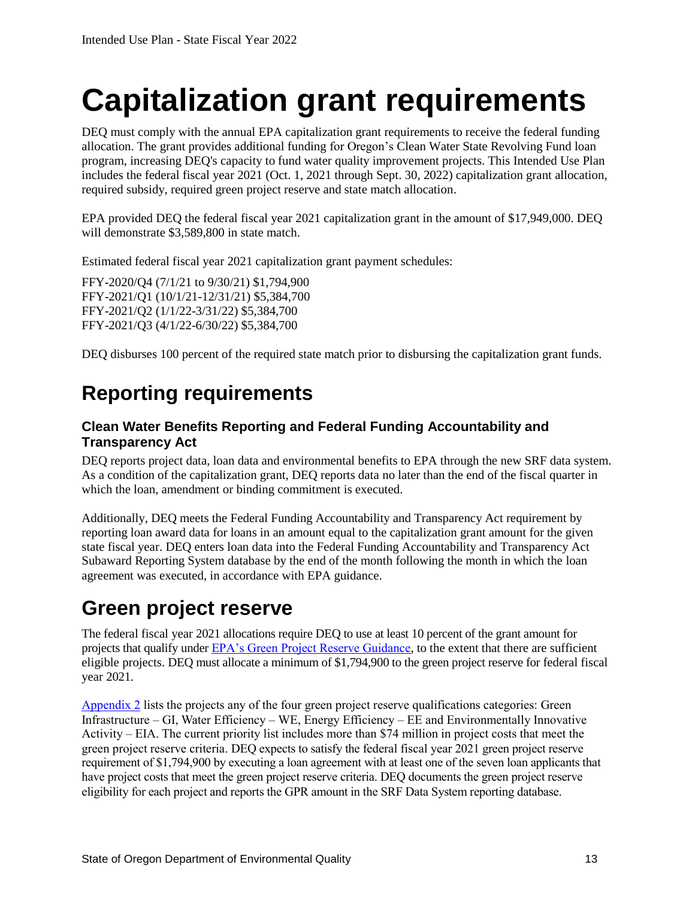## <span id="page-16-0"></span>**Capitalization grant requirements**

DEQ must comply with the annual EPA capitalization grant requirements to receive the federal funding allocation. The grant provides additional funding for Oregon's Clean Water State Revolving Fund loan program, increasing DEQ's capacity to fund water quality improvement projects. This Intended Use Plan includes the federal fiscal year 2021 (Oct. 1, 2021 through Sept. 30, 2022) capitalization grant allocation, required subsidy, required green project reserve and state match allocation.

EPA provided DEQ the federal fiscal year 2021 capitalization grant in the amount of \$17,949,000. DEQ will demonstrate \$3,589,800 in state match.

Estimated federal fiscal year 2021 capitalization grant payment schedules:

FFY-2020/Q4 (7/1/21 to 9/30/21) \$1,794,900 FFY-2021/Q1 (10/1/21-12/31/21) \$5,384,700 FFY-2021/Q2 (1/1/22-3/31/22) \$5,384,700 FFY-2021/Q3 (4/1/22-6/30/22) \$5,384,700

<span id="page-16-1"></span>DEQ disburses 100 percent of the required state match prior to disbursing the capitalization grant funds.

## **Reporting requirements**

#### **Clean Water Benefits Reporting and Federal Funding Accountability and Transparency Act**

DEQ reports project data, loan data and environmental benefits to EPA through the new SRF data system. As a condition of the capitalization grant, DEQ reports data no later than the end of the fiscal quarter in which the loan, amendment or binding commitment is executed.

Additionally, DEQ meets the Federal Funding Accountability and Transparency Act requirement by reporting loan award data for loans in an amount equal to the capitalization grant amount for the given state fiscal year. DEQ enters loan data into the Federal Funding Accountability and Transparency Act Subaward Reporting System database by the end of the month following the month in which the loan agreement was executed, in accordance with EPA guidance.

### <span id="page-16-2"></span>**Green project reserve**

The federal fiscal year 2021 allocations require DEQ to use at least 10 percent of the grant amount for projects that qualify under **EPA**'s Green Project Reserve Guidance, to the extent that there are sufficient eligible projects. DEQ must allocate a minimum of \$1,794,900 to the green project reserve for federal fiscal year 2021.

Appendix  $2$  lists the projects any of the four green project reserve qualifications categories: Green Infrastructure – GI, Water Efficiency – WE, Energy Efficiency – EE and Environmentally Innovative Activity – EIA. The current priority list includes more than \$74 million in project costs that meet the green project reserve criteria. DEQ expects to satisfy the federal fiscal year 2021 green project reserve requirement of \$1,794,900 by executing a loan agreement with at least one of the seven loan applicants that have project costs that meet the green project reserve criteria. DEQ documents the green project reserve eligibility for each project and reports the GPR amount in the SRF Data System reporting database.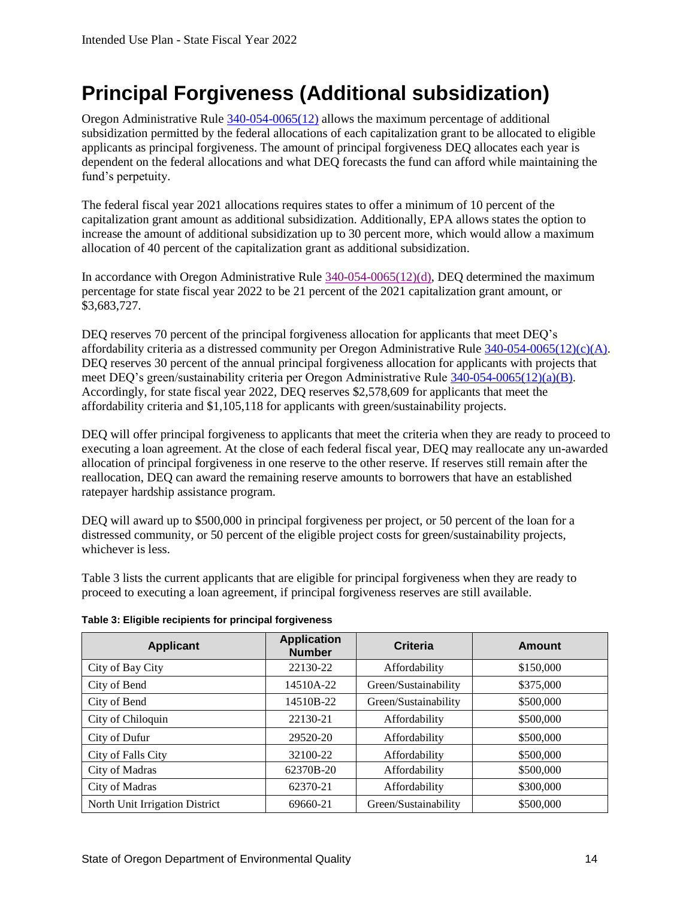### <span id="page-17-0"></span>**Principal Forgiveness (Additional subsidization)**

Oregon Administrative Rule [340-054-0065\(12\)](https://secure.sos.state.or.us/oard/viewSingleRule.action?ruleVrsnRsn=235785) allows the maximum percentage of additional subsidization permitted by the federal allocations of each capitalization grant to be allocated to eligible applicants as principal forgiveness. The amount of principal forgiveness DEQ allocates each year is dependent on the federal allocations and what DEQ forecasts the fund can afford while maintaining the fund's perpetuity.

The federal fiscal year 2021 allocations requires states to offer a minimum of 10 percent of the capitalization grant amount as additional subsidization. Additionally, EPA allows states the option to increase the amount of additional subsidization up to 30 percent more, which would allow a maximum allocation of 40 percent of the capitalization grant as additional subsidization.

In accordance with Oregon Administrative Rule [340-054-0065\(12\)\(d\),](https://secure.sos.state.or.us/oard/viewSingleRule.action?ruleVrsnRsn=235785) DEQ determined the maximum percentage for state fiscal year 2022 to be 21 percent of the 2021 capitalization grant amount, or \$3,683,727.

DEQ reserves 70 percent of the principal forgiveness allocation for applicants that meet DEQ's affordability criteria as a distressed community per Oregon Administrative Rule [340-054-0065\(12\)\(c\)\(A\).](https://secure.sos.state.or.us/oard/viewSingleRule.action?ruleVrsnRsn=235785) DEQ reserves 30 percent of the annual principal forgiveness allocation for applicants with projects that meet DEQ's green/sustainability criteria per Oregon Administrative Rule [340-054-0065\(12\)\(a\)\(B\).](https://secure.sos.state.or.us/oard/viewSingleRule.action?ruleVrsnRsn=235785) Accordingly, for state fiscal year 2022, DEQ reserves \$2,578,609 for applicants that meet the affordability criteria and \$1,105,118 for applicants with green/sustainability projects.

DEQ will offer principal forgiveness to applicants that meet the criteria when they are ready to proceed to executing a loan agreement. At the close of each federal fiscal year, DEQ may reallocate any un-awarded allocation of principal forgiveness in one reserve to the other reserve. If reserves still remain after the reallocation, DEQ can award the remaining reserve amounts to borrowers that have an established ratepayer hardship assistance program.

DEQ will award up to \$500,000 in principal forgiveness per project, or 50 percent of the loan for a distressed community, or 50 percent of the eligible project costs for green/sustainability projects, whichever is less.

Table 3 lists the current applicants that are eligible for principal forgiveness when they are ready to proceed to executing a loan agreement, if principal forgiveness reserves are still available.

| <b>Applicant</b>               | <b>Application</b><br><b>Number</b> | Criteria             | <b>Amount</b> |
|--------------------------------|-------------------------------------|----------------------|---------------|
| City of Bay City               | 22130-22                            | Affordability        | \$150,000     |
| City of Bend                   | 14510A-22                           | Green/Sustainability | \$375,000     |
| City of Bend                   | 14510B-22                           | Green/Sustainability | \$500,000     |
| City of Chiloquin              | 22130-21                            | Affordability        | \$500,000     |
| City of Dufur                  | 29520-20                            | Affordability        | \$500,000     |
| City of Falls City             | 32100-22                            | Affordability        | \$500,000     |
| City of Madras                 | 62370B-20                           | Affordability        | \$500,000     |
| City of Madras                 | 62370-21                            | Affordability        | \$300,000     |
| North Unit Irrigation District | 69660-21                            | Green/Sustainability | \$500,000     |

<span id="page-17-1"></span>**Table 3: Eligible recipients for principal forgiveness**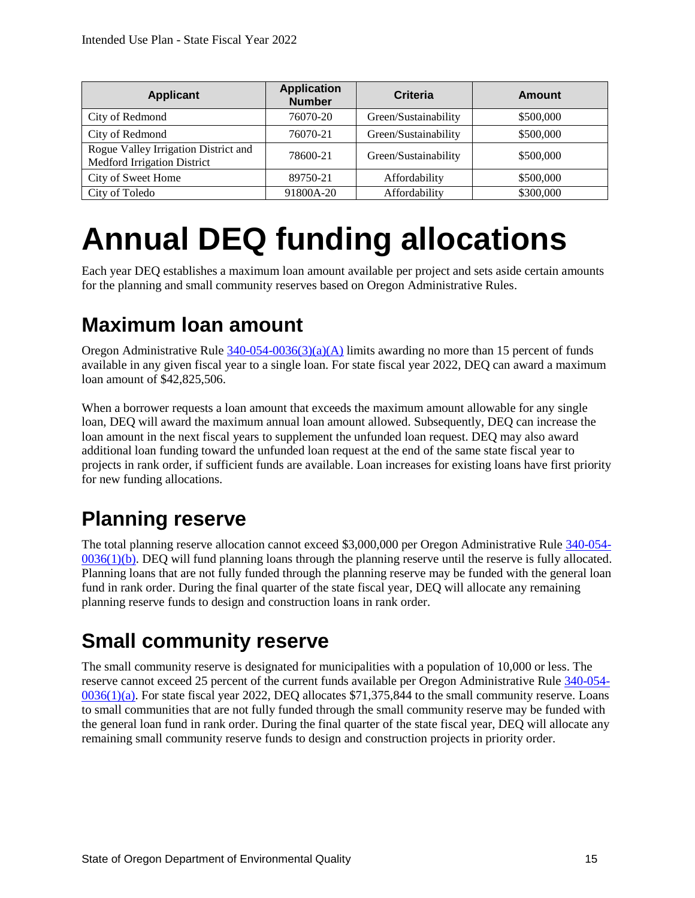| <b>Applicant</b>                                                           | <b>Application</b><br><b>Number</b> | Criteria             | Amount    |
|----------------------------------------------------------------------------|-------------------------------------|----------------------|-----------|
| City of Redmond                                                            | 76070-20                            | Green/Sustainability | \$500,000 |
| City of Redmond                                                            | 76070-21                            | Green/Sustainability | \$500,000 |
| Rogue Valley Irrigation District and<br><b>Medford Irrigation District</b> | 78600-21                            | Green/Sustainability | \$500,000 |
| City of Sweet Home                                                         | 89750-21                            | Affordability        | \$500,000 |
| City of Toledo                                                             | 91800A-20                           | Affordability        | \$300,000 |

## <span id="page-18-0"></span>**Annual DEQ funding allocations**

Each year DEQ establishes a maximum loan amount available per project and sets aside certain amounts for the planning and small community reserves based on Oregon Administrative Rules.

#### <span id="page-18-1"></span>**Maximum loan amount**

Oregon Administrative Rule  $340-054-0036(3)(a)(A)$  limits awarding no more than 15 percent of funds available in any given fiscal year to a single loan. For state fiscal year 2022, DEQ can award a maximum loan amount of \$42,825,506.

When a borrower requests a loan amount that exceeds the maximum amount allowable for any single loan, DEQ will award the maximum annual loan amount allowed. Subsequently, DEQ can increase the loan amount in the next fiscal years to supplement the unfunded loan request. DEQ may also award additional loan funding toward the unfunded loan request at the end of the same state fiscal year to projects in rank order, if sufficient funds are available. Loan increases for existing loans have first priority for new funding allocations.

## <span id="page-18-2"></span>**Planning reserve**

The total planning reserve allocation cannot exceed \$3,000,000 per Oregon Administrative Rule [340-054-](https://secure.sos.state.or.us/oard/viewSingleRule.action?ruleVrsnRsn=235777) [0036\(1\)\(b\).](https://secure.sos.state.or.us/oard/viewSingleRule.action?ruleVrsnRsn=235777) DEQ will fund planning loans through the planning reserve until the reserve is fully allocated. Planning loans that are not fully funded through the planning reserve may be funded with the general loan fund in rank order. During the final quarter of the state fiscal year, DEQ will allocate any remaining planning reserve funds to design and construction loans in rank order.

#### <span id="page-18-3"></span>**Small community reserve**

The small community reserve is designated for municipalities with a population of 10,000 or less. The reserve cannot exceed 25 percent of the current funds available per Oregon Administrative Rule [340-054-](https://secure.sos.state.or.us/oard/viewSingleRule.action?ruleVrsnRsn=235777) [0036\(1\)\(a\).](https://secure.sos.state.or.us/oard/viewSingleRule.action?ruleVrsnRsn=235777) For state fiscal year 2022, DEQ allocates \$71,375,844 to the small community reserve. Loans to small communities that are not fully funded through the small community reserve may be funded with the general loan fund in rank order. During the final quarter of the state fiscal year, DEQ will allocate any remaining small community reserve funds to design and construction projects in priority order.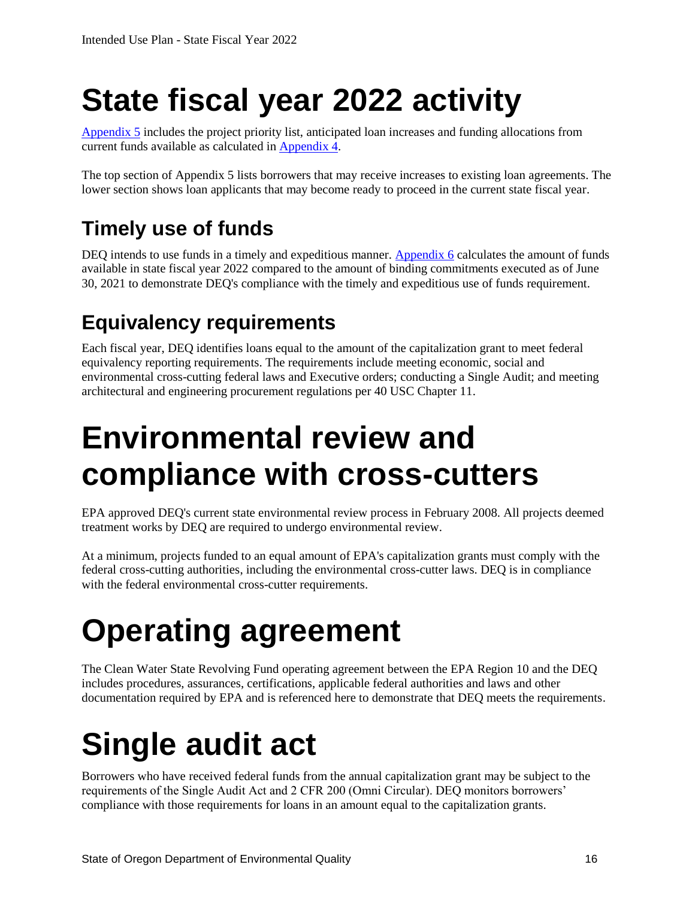# <span id="page-19-0"></span>**State fiscal year 2022 activity**

[Appendix 5](#page-26-1) includes the project priority list, anticipated loan increases and funding allocations from current funds available as calculated in [Appendix](#page-25-1) 4.

The top section of Appendix 5 lists borrowers that may receive increases to existing loan agreements. The lower section shows loan applicants that may become ready to proceed in the current state fiscal year.

## <span id="page-19-1"></span>**Timely use of funds**

DEQ intends to use funds in a timely and expeditious manner. [Appendix](#page-29-0) 6 calculates the amount of funds available in state fiscal year 2022 compared to the amount of binding commitments executed as of June 30, 2021 to demonstrate DEQ's compliance with the timely and expeditious use of funds requirement.

## <span id="page-19-2"></span>**Equivalency requirements**

Each fiscal year, DEQ identifies loans equal to the amount of the capitalization grant to meet federal equivalency reporting requirements. The requirements include meeting economic, social and environmental cross-cutting federal laws and Executive orders; conducting a Single Audit; and meeting architectural and engineering procurement regulations per 40 USC Chapter 11.

## <span id="page-19-3"></span>**Environmental review and compliance with cross-cutters**

EPA approved DEQ's current state environmental review process in February 2008. All projects deemed treatment works by DEQ are required to undergo environmental review.

At a minimum, projects funded to an equal amount of EPA's capitalization grants must comply with the federal cross-cutting authorities, including the environmental cross-cutter laws. DEQ is in compliance with the federal environmental cross-cutter requirements.

## <span id="page-19-4"></span>**Operating agreement**

The Clean Water State Revolving Fund operating agreement between the EPA Region 10 and the DEQ includes procedures, assurances, certifications, applicable federal authorities and laws and other documentation required by EPA and is referenced here to demonstrate that DEQ meets the requirements.

# <span id="page-19-5"></span>**Single audit act**

Borrowers who have received federal funds from the annual capitalization grant may be subject to the requirements of the Single Audit Act and 2 CFR 200 (Omni Circular). DEQ monitors borrowers' compliance with those requirements for loans in an amount equal to the capitalization grants.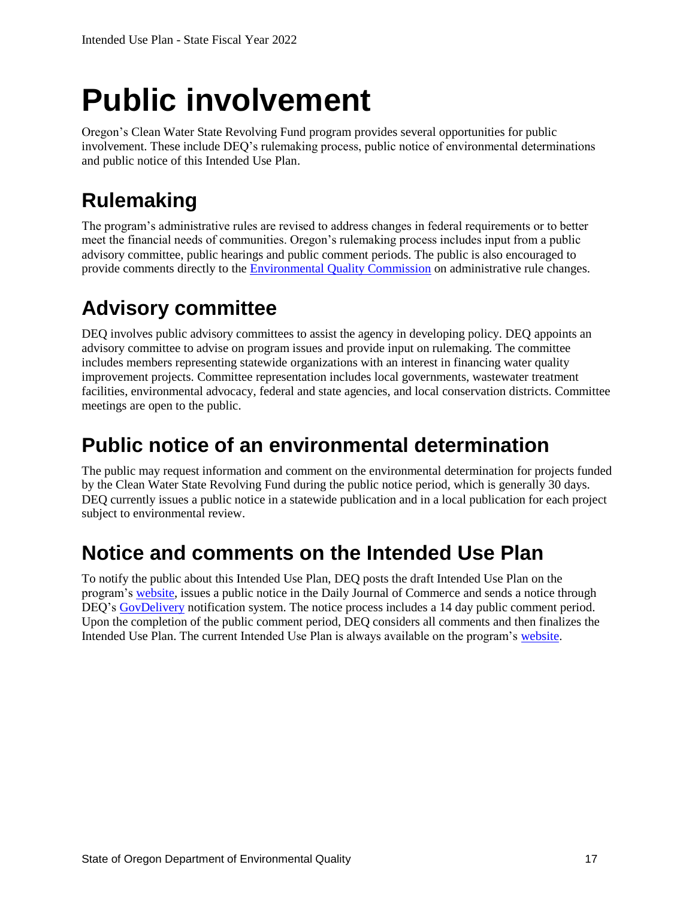## <span id="page-20-0"></span>**Public involvement**

Oregon's Clean Water State Revolving Fund program provides several opportunities for public involvement. These include DEQ's rulemaking process, public notice of environmental determinations and public notice of this Intended Use Plan.

## <span id="page-20-1"></span>**Rulemaking**

The program's administrative rules are revised to address changes in federal requirements or to better meet the financial needs of communities. Oregon's rulemaking process includes input from a public advisory committee, public hearings and public comment periods. The public is also encouraged to provide comments directly to the [Environmental Quality Commission](https://www.oregon.gov/deq/about-us/eqc/Pages/default.aspx) on administrative rule changes.

### <span id="page-20-2"></span>**Advisory committee**

DEQ involves public advisory committees to assist the agency in developing policy. DEQ appoints an advisory committee to advise on program issues and provide input on rulemaking. The committee includes members representing statewide organizations with an interest in financing water quality improvement projects. Committee representation includes local governments, wastewater treatment facilities, environmental advocacy, federal and state agencies, and local conservation districts. Committee meetings are open to the public.

### <span id="page-20-3"></span>**Public notice of an environmental determination**

The public may request information and comment on the environmental determination for projects funded by the Clean Water State Revolving Fund during the public notice period, which is generally 30 days. DEQ currently issues a public notice in a statewide publication and in a local publication for each project subject to environmental review.

#### <span id="page-20-4"></span>**Notice and comments on the Intended Use Plan**

To notify the public about this Intended Use Plan, DEQ posts the draft Intended Use Plan on the program's [website,](http://www.oregon.gov/deq/wq/cwsrf/Pages/default.aspx) issues a public notice in the Daily Journal of Commerce and sends a notice through DEQ's [GovDelivery](https://public.govdelivery.com/accounts/ORDEQ/subscriber/new?topic_id=ORDEQ_397) notification system. The notice process includes a 14 day public comment period. Upon the completion of the public comment period, DEQ considers all comments and then finalizes the Intended Use Plan. The current Intended Use Plan is always available on the program's [website.](http://www.oregon.gov/deq/wq/cwsrf/Pages/default.aspx)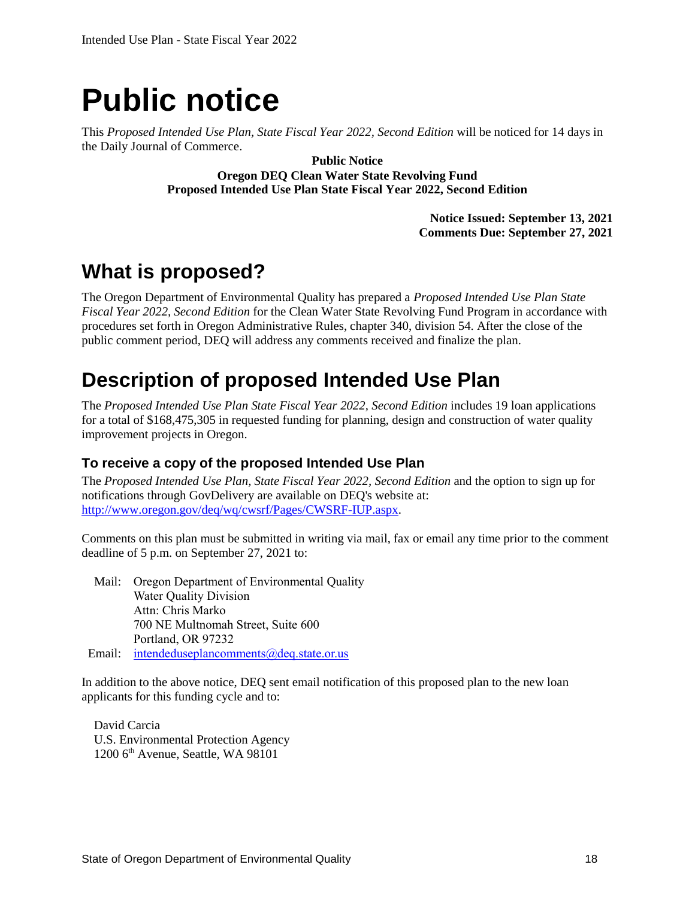## <span id="page-21-0"></span>**Public notice**

This *Proposed Intended Use Plan, State Fiscal Year 2022, Second Edition* will be noticed for 14 days in the Daily Journal of Commerce.

> **Public Notice Oregon DEQ Clean Water State Revolving Fund Proposed Intended Use Plan State Fiscal Year 2022, Second Edition**

> > **Notice Issued: September 13, 2021 Comments Due: September 27, 2021**

### <span id="page-21-1"></span>**What is proposed?**

The Oregon Department of Environmental Quality has prepared a *Proposed Intended Use Plan State Fiscal Year 2022, Second Edition* for the Clean Water State Revolving Fund Program in accordance with procedures set forth in Oregon Administrative Rules, chapter 340, division 54. After the close of the public comment period, DEQ will address any comments received and finalize the plan.

#### <span id="page-21-2"></span>**Description of proposed Intended Use Plan**

The *Proposed Intended Use Plan State Fiscal Year 2022, Second Edition* includes 19 loan applications for a total of \$168,475,305 in requested funding for planning, design and construction of water quality improvement projects in Oregon.

#### **To receive a copy of the proposed Intended Use Plan**

The *Proposed Intended Use Plan, State Fiscal Year 2022, Second Edition* and the option to sign up for notifications through GovDelivery are available on DEQ's website at: [http://www.oregon.gov/deq/wq/cwsrf/Pages/CWSRF-IUP.aspx.](http://www.oregon.gov/deq/wq/cwsrf/Pages/CWSRF-IUP.aspx)

Comments on this plan must be submitted in writing via mail, fax or email any time prior to the comment deadline of 5 p.m. on September 27, 2021 to:

Mail: Oregon Department of Environmental Quality Water Quality Division Attn: Chris Marko 700 NE Multnomah Street, Suite 600 Portland, OR 97232 Email: [intendeduseplancomments@deq.state.or.us](mailto:intendeduseplancomments@deq.state.or.us)

In addition to the above notice, DEQ sent email notification of this proposed plan to the new loan applicants for this funding cycle and to:

David Carcia U.S. Environmental Protection Agency  $1200$  6<sup>th</sup> Avenue, Seattle, WA 98101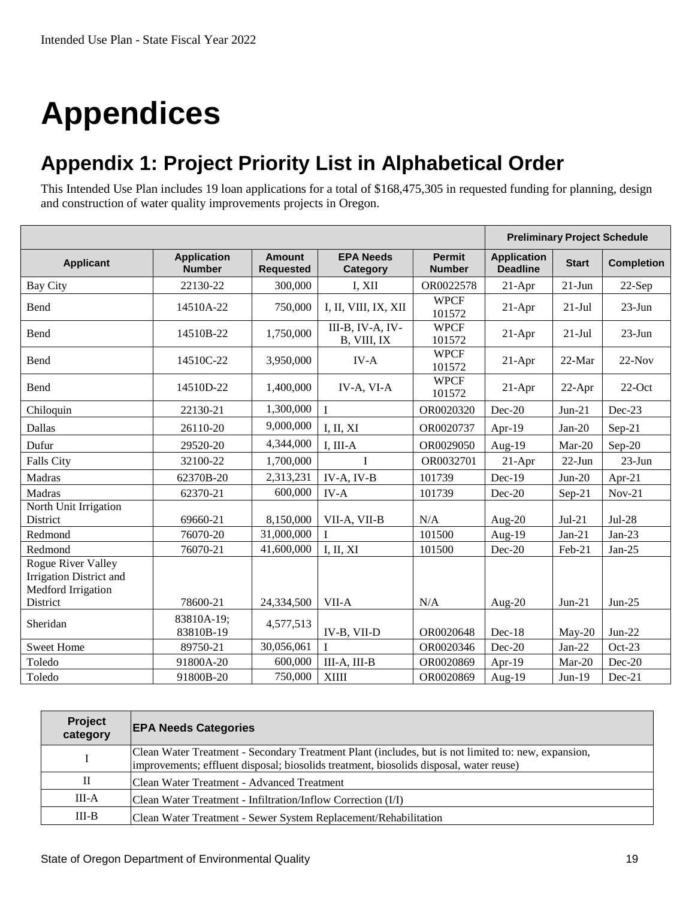# <span id="page-22-0"></span>**Appendices**

### <span id="page-22-1"></span>**Appendix 1: Project Priority List in Alphabetical Order**

This Intended Use Plan includes 19 loan applications for a total of \$168,475,305 in requested funding for planning, design and construction of water quality improvements projects in Oregon.

|                                                                            |                                     |                                   |                                 |                                | <b>Preliminary Project Schedule</b>   |              |                   |
|----------------------------------------------------------------------------|-------------------------------------|-----------------------------------|---------------------------------|--------------------------------|---------------------------------------|--------------|-------------------|
| <b>Applicant</b>                                                           | <b>Application</b><br><b>Number</b> | <b>Amount</b><br><b>Requested</b> | <b>EPA Needs</b><br>Category    | <b>Permit</b><br><b>Number</b> | <b>Application</b><br><b>Deadline</b> | <b>Start</b> | <b>Completion</b> |
| <b>Bay City</b>                                                            | 22130-22                            | 300,000                           | I, XII                          | OR0022578                      | $21-Apr$                              | $21-Jun$     | 22-Sep            |
| Bend                                                                       | 14510A-22                           | 750,000                           | I, II, VIII, IX, XII            | <b>WPCF</b><br>101572          | $21-Apr$                              | $21-Jul$     | $23$ -Jun         |
| Bend                                                                       | 14510B-22                           | 1,750,000                         | III-B, IV-A, IV-<br>B, VIII, IX | <b>WPCF</b><br>101572          | $21-Apr$                              | $21-Jul$     | $23-Jun$          |
| Bend                                                                       | 14510C-22                           | 3,950,000                         | $IV-A$                          | <b>WPCF</b><br>101572          | $21-Apr$                              | 22-Mar       | $22-Nov$          |
| Bend                                                                       | 14510D-22                           | 1,400,000                         | IV-A, VI-A                      | <b>WPCF</b><br>101572          | $21-Apr$                              | $22-Apr$     | $22$ -Oct         |
| Chiloquin                                                                  | 22130-21                            | 1,300,000                         | $\mathbf I$                     | OR0020320                      | Dec-20                                | $Jun-21$     | Dec-23            |
| Dallas                                                                     | 26110-20                            | 9,000,000                         | I, II, XI                       | OR0020737                      | Apr-19                                | $Jan-20$     | $Sep-21$          |
| Dufur                                                                      | 29520-20                            | 4,344,000                         | I, III-A                        | OR0029050                      | Aug-19                                | Mar-20       | $Sep-20$          |
| <b>Falls City</b>                                                          | 32100-22                            | 1,700,000                         | I                               | OR0032701                      | $21-Apr$                              | $22$ -Jun    | $23-Jun$          |
| Madras                                                                     | 62370B-20                           | 2,313,231                         | $IV-A, IV-B$                    | 101739                         | Dec-19                                | $Jun-20$     | Apr-21            |
| Madras                                                                     | 62370-21                            | 600,000                           | $IV-A$                          | 101739                         | $Dec-20$                              | Sep-21       | $Nov-21$          |
| North Unit Irrigation<br>District                                          | 69660-21                            | 8,150,000                         | VII-A, VII-B                    | N/A                            | Aug- $20$                             | $Jul-21$     | $Jul-28$          |
| Redmond                                                                    | 76070-20                            | 31,000,000                        |                                 | 101500                         | Aug-19                                | $Jan-21$     | $Jan-23$          |
| Redmond                                                                    | 76070-21                            | 41,600,000                        | I, II, XI                       | 101500                         | Dec-20                                | Feb-21       | $Jan-25$          |
| <b>Rogue River Valley</b><br>Irrigation District and<br>Medford Irrigation |                                     |                                   |                                 |                                |                                       |              |                   |
| District                                                                   | 78600-21                            | 24,334,500                        | VII-A                           | N/A                            | Aug- $20$                             | $Jun-21$     | $Jun-25$          |
| Sheridan                                                                   | 83810A-19;<br>83810B-19             | 4,577,513                         | IV-B, VII-D                     | OR0020648                      | $Dec-18$                              | $May-20$     | $Jun-22$          |
| <b>Sweet Home</b>                                                          | 89750-21                            | 30,056,061                        | $\mathbf{I}$                    | OR0020346                      | Dec-20                                | $Jan-22$     | $Oct-23$          |
| Toledo                                                                     | 91800A-20                           | 600,000                           | III-A, III-B                    | OR0020869                      | Apr-19                                | Mar-20       | Dec-20            |
| Toledo                                                                     | 91800B-20                           | 750,000                           | <b>XIIII</b>                    | OR0020869                      | Aug- $19$                             | $Jun-19$     | $Dec-21$          |

| Project<br>category | <b>EPA Needs Categories</b>                                                                                                                                                                   |
|---------------------|-----------------------------------------------------------------------------------------------------------------------------------------------------------------------------------------------|
|                     | Clean Water Treatment - Secondary Treatment Plant (includes, but is not limited to: new, expansion,<br>improvements; effluent disposal; biosolids treatment, biosolids disposal, water reuse) |
| П                   | Clean Water Treatment - Advanced Treatment                                                                                                                                                    |
| $III-A$             | Clean Water Treatment - Infiltration/Inflow Correction (I/I)                                                                                                                                  |
| $III-B$             | Clean Water Treatment - Sewer System Replacement/Rehabilitation                                                                                                                               |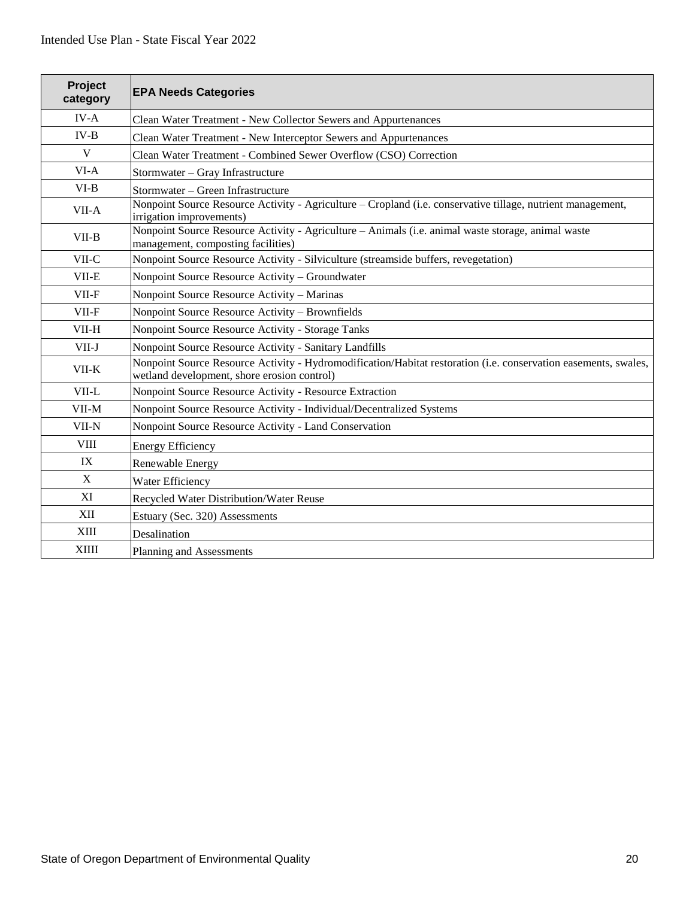<span id="page-23-0"></span>

| Project<br>category | <b>EPA Needs Categories</b>                                                                                                                                    |
|---------------------|----------------------------------------------------------------------------------------------------------------------------------------------------------------|
| $IV-A$              | Clean Water Treatment - New Collector Sewers and Appurtenances                                                                                                 |
| $IV-B$              | Clean Water Treatment - New Interceptor Sewers and Appurtenances                                                                                               |
| V                   | Clean Water Treatment - Combined Sewer Overflow (CSO) Correction                                                                                               |
| $VI-A$              | Stormwater - Gray Infrastructure                                                                                                                               |
| $VI-B$              | Stormwater - Green Infrastructure                                                                                                                              |
| VII-A               | Nonpoint Source Resource Activity - Agriculture – Cropland (i.e. conservative tillage, nutrient management,<br>irrigation improvements)                        |
| $VII-B$             | Nonpoint Source Resource Activity - Agriculture - Animals (i.e. animal waste storage, animal waste<br>management, composting facilities)                       |
| $VII-C$             | Nonpoint Source Resource Activity - Silviculture (streamside buffers, revegetation)                                                                            |
| VII-E               | Nonpoint Source Resource Activity - Groundwater                                                                                                                |
| VII-F               | Nonpoint Source Resource Activity - Marinas                                                                                                                    |
| $VII-F$             | Nonpoint Source Resource Activity - Brownfields                                                                                                                |
| VII-H               | Nonpoint Source Resource Activity - Storage Tanks                                                                                                              |
| $VII-J$             | Nonpoint Source Resource Activity - Sanitary Landfills                                                                                                         |
| $VII-K$             | Nonpoint Source Resource Activity - Hydromodification/Habitat restoration (i.e. conservation easements, swales,<br>wetland development, shore erosion control) |
| VII-L               | Nonpoint Source Resource Activity - Resource Extraction                                                                                                        |
| $VII-M$             | Nonpoint Source Resource Activity - Individual/Decentralized Systems                                                                                           |
| VII-N               | Nonpoint Source Resource Activity - Land Conservation                                                                                                          |
| VIII                | <b>Energy Efficiency</b>                                                                                                                                       |
| IX                  | Renewable Energy                                                                                                                                               |
| X                   | Water Efficiency                                                                                                                                               |
| XI                  | Recycled Water Distribution/Water Reuse                                                                                                                        |
| XII                 | Estuary (Sec. 320) Assessments                                                                                                                                 |
| XIII                | Desalination                                                                                                                                                   |
| <b>XIIII</b>        | Planning and Assessments                                                                                                                                       |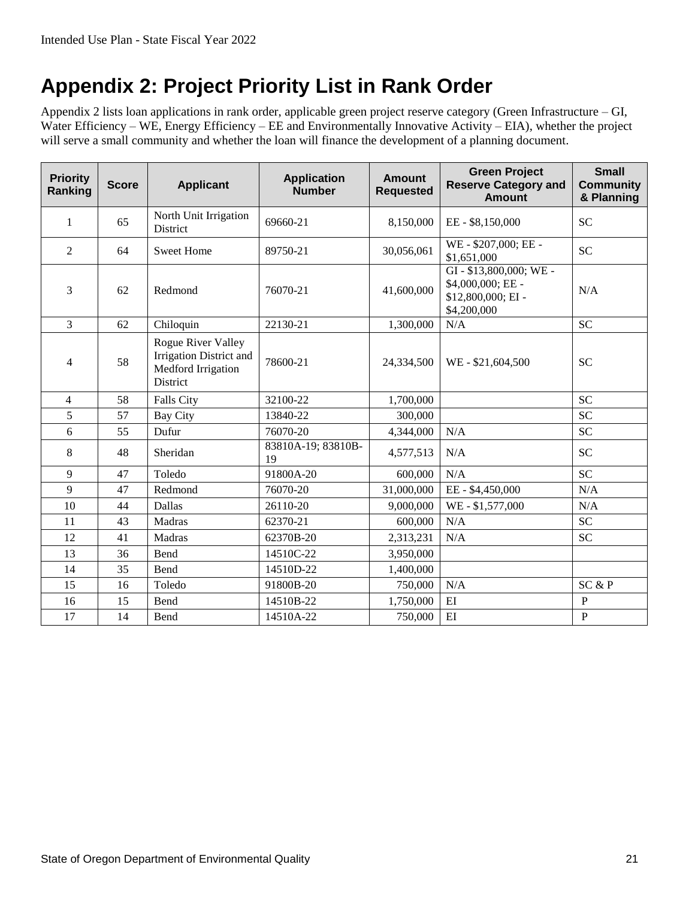### <span id="page-24-0"></span>**Appendix 2: Project Priority List in Rank Order**

Appendix 2 lists loan applications in rank order, applicable green project reserve category (Green Infrastructure – GI, Water Efficiency – WE, Energy Efficiency – EE and Environmentally Innovative Activity – EIA), whether the project will serve a small community and whether the loan will finance the development of a planning document.

<span id="page-24-1"></span>

| <b>Priority</b><br>Ranking | <b>Score</b> | <b>Applicant</b>                                                                | <b>Application</b><br><b>Number</b> | <b>Amount</b><br><b>Requested</b> | <b>Green Project</b><br><b>Reserve Category and</b><br><b>Amount</b>           | <b>Small</b><br><b>Community</b><br>& Planning |
|----------------------------|--------------|---------------------------------------------------------------------------------|-------------------------------------|-----------------------------------|--------------------------------------------------------------------------------|------------------------------------------------|
| 1                          | 65           | North Unit Irrigation<br>District                                               | 69660-21                            | 8,150,000                         | EE-\$8,150,000                                                                 | <b>SC</b>                                      |
| 2                          | 64           | <b>Sweet Home</b>                                                               | 89750-21                            | 30,056,061                        | WE-\$207,000; EE-<br>\$1,651,000                                               | <b>SC</b>                                      |
| 3                          | 62           | Redmond                                                                         | 76070-21                            | 41,600,000                        | GI-\$13,800,000; WE-<br>\$4,000,000; EE -<br>\$12,800,000; EI -<br>\$4,200,000 | N/A                                            |
| 3                          | 62           | Chiloquin                                                                       | 22130-21                            | 1,300,000                         | N/A                                                                            | <b>SC</b>                                      |
| 4                          | 58           | Rogue River Valley<br>Irrigation District and<br>Medford Irrigation<br>District | 78600-21                            | 24,334,500                        | WE-\$21,604,500                                                                | <b>SC</b>                                      |
| $\overline{4}$             | 58           | <b>Falls City</b>                                                               | 32100-22                            | 1,700,000                         |                                                                                | <b>SC</b>                                      |
| 5                          | 57           | <b>Bay City</b>                                                                 | 13840-22                            | 300,000                           |                                                                                | <b>SC</b>                                      |
| 6                          | 55           | Dufur                                                                           | 76070-20                            | 4,344,000                         | N/A                                                                            | <b>SC</b>                                      |
| 8                          | 48           | Sheridan                                                                        | 83810A-19; 83810B-<br>19            | 4,577,513                         | N/A                                                                            | <b>SC</b>                                      |
| 9                          | 47           | Toledo                                                                          | 91800A-20                           | 600,000                           | N/A                                                                            | <b>SC</b>                                      |
| 9                          | 47           | Redmond                                                                         | 76070-20                            | 31,000,000                        | EE-\$4,450,000                                                                 | N/A                                            |
| 10                         | 44           | Dallas                                                                          | 26110-20                            | 9,000,000                         | WE-\$1,577,000                                                                 | N/A                                            |
| 11                         | 43           | Madras                                                                          | 62370-21                            | 600,000                           | N/A                                                                            | <b>SC</b>                                      |
| 12                         | 41           | Madras                                                                          | 62370B-20                           | 2,313,231                         | N/A                                                                            | <b>SC</b>                                      |
| 13                         | 36           | Bend                                                                            | 14510C-22                           | 3,950,000                         |                                                                                |                                                |
| 14                         | 35           | Bend                                                                            | 14510D-22                           | 1,400,000                         |                                                                                |                                                |
| 15                         | 16           | Toledo                                                                          | 91800B-20                           | 750,000                           | N/A                                                                            | SC & P                                         |
| 16                         | 15           | Bend                                                                            | 14510B-22                           | 1,750,000                         | EI                                                                             | $\mathbf P$                                    |
| 17                         | 14           | Bend                                                                            | 14510A-22                           | 750,000                           | EI                                                                             | $\mathbf P$                                    |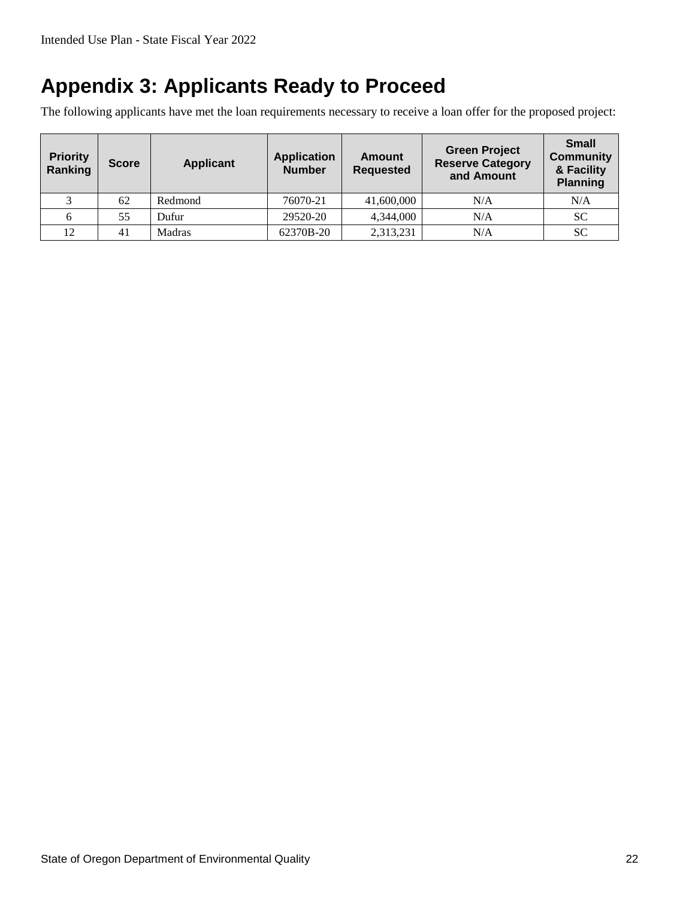### <span id="page-25-0"></span>**Appendix 3: Applicants Ready to Proceed**

The following applicants have met the loan requirements necessary to receive a loan offer for the proposed project:

<span id="page-25-1"></span>

| <b>Priority</b><br>Ranking | <b>Score</b> | <b>Applicant</b> | <b>Application</b><br><b>Number</b> | <b>Amount</b><br><b>Requested</b> | <b>Green Project</b><br><b>Reserve Category</b><br>and Amount | <b>Small</b><br><b>Community</b><br>& Facility<br><b>Planning</b> |
|----------------------------|--------------|------------------|-------------------------------------|-----------------------------------|---------------------------------------------------------------|-------------------------------------------------------------------|
|                            | 62           | Redmond          | 76070-21                            | 41,600,000                        | N/A                                                           | N/A                                                               |
|                            | 55           | Dufur            | 29520-20                            | 4,344,000                         | N/A                                                           | SC                                                                |
| 12                         | 41           | Madras           | 62370B-20                           | 2,313,231                         | N/A                                                           | SC                                                                |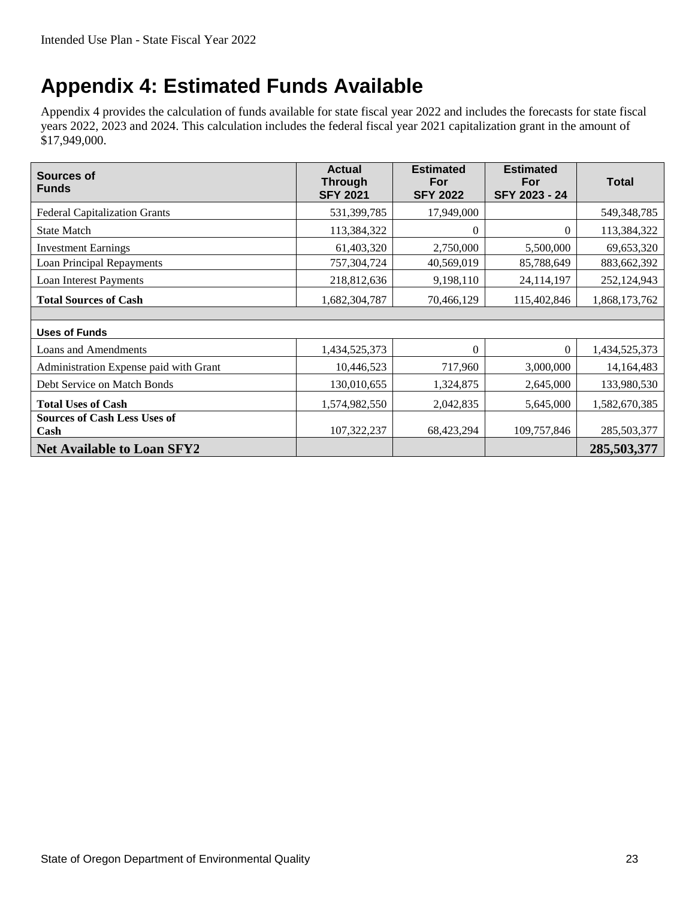### <span id="page-26-0"></span>**Appendix 4: Estimated Funds Available**

Appendix 4 provides the calculation of funds available for state fiscal year 2022 and includes the forecasts for state fiscal years 2022, 2023 and 2024. This calculation includes the federal fiscal year 2021 capitalization grant in the amount of \$17,949,000.

<span id="page-26-1"></span>

| Sources of<br><b>Funds</b>                  | <b>Estimated</b><br><b>Actual</b><br><b>Through</b><br>For<br><b>SFY 2022</b><br><b>SFY 2021</b> |            | <b>Estimated</b><br>For<br>SFY 2023 - 24 | <b>Total</b>  |
|---------------------------------------------|--------------------------------------------------------------------------------------------------|------------|------------------------------------------|---------------|
| <b>Federal Capitalization Grants</b>        | 531,399,785                                                                                      | 17,949,000 |                                          | 549,348,785   |
| <b>State Match</b>                          | 113,384,322                                                                                      | $\theta$   | $\mathbf{0}$                             | 113,384,322   |
| <b>Investment Earnings</b>                  | 61,403,320                                                                                       | 2,750,000  | 5,500,000                                | 69,653,320    |
| Loan Principal Repayments                   | 757,304,724                                                                                      | 40,569,019 | 85,788,649                               | 883,662,392   |
| Loan Interest Payments                      | 218,812,636                                                                                      | 9,198,110  | 24,114,197                               | 252,124,943   |
| <b>Total Sources of Cash</b>                | 1,682,304,787                                                                                    | 70,466,129 | 115,402,846                              | 1,868,173,762 |
|                                             |                                                                                                  |            |                                          |               |
| <b>Uses of Funds</b>                        |                                                                                                  |            |                                          |               |
| Loans and Amendments                        | 1,434,525,373                                                                                    | $\theta$   | 0                                        | 1,434,525,373 |
| Administration Expense paid with Grant      | 10,446,523                                                                                       | 717,960    | 3,000,000                                | 14, 164, 483  |
| Debt Service on Match Bonds                 | 130,010,655                                                                                      | 1,324,875  | 2,645,000                                | 133,980,530   |
| <b>Total Uses of Cash</b>                   | 1,574,982,550                                                                                    | 2,042,835  | 5,645,000                                | 1,582,670,385 |
| <b>Sources of Cash Less Uses of</b><br>Cash | 107,322,237                                                                                      | 68,423,294 | 109,757,846                              | 285,503,377   |
| <b>Net Available to Loan SFY2</b>           |                                                                                                  |            |                                          | 285,503,377   |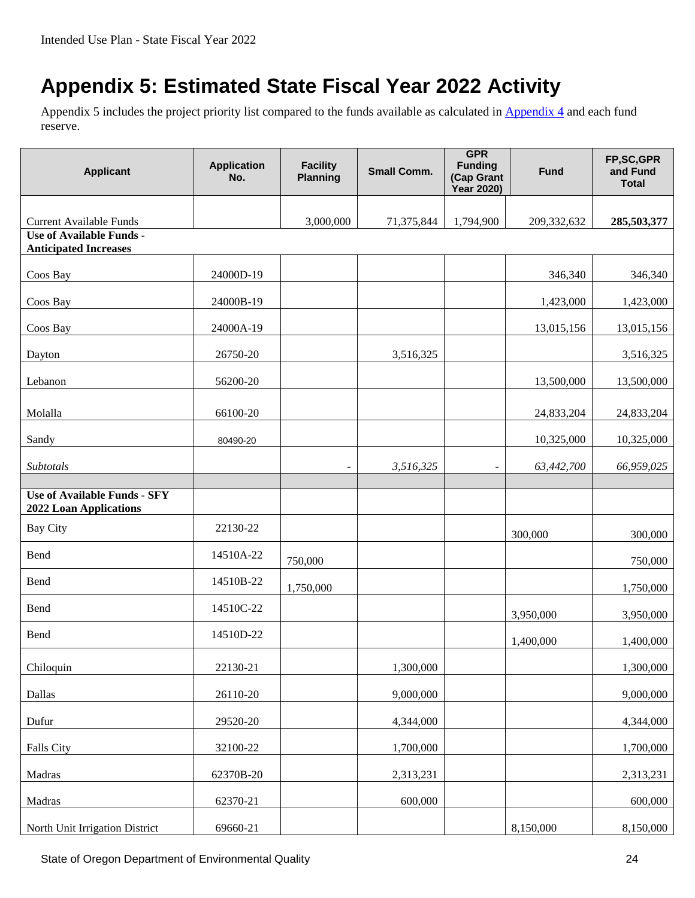## <span id="page-27-0"></span>**Appendix 5: Estimated State Fiscal Year 2022 Activity**

Appendix 5 includes the project priority list compared to the funds available as calculated in [Appendix 4](#page-25-1) and each fund reserve.

<span id="page-27-1"></span>

| <b>Applicant</b>                                                     | <b>Application</b><br>No. | <b>Facility</b><br><b>Planning</b> | <b>Small Comm.</b> | <b>GPR</b><br><b>Funding</b><br>(Cap Grant<br><b>Year 2020)</b> | <b>Fund</b> | FP,SC,GPR<br>and Fund<br><b>Total</b> |
|----------------------------------------------------------------------|---------------------------|------------------------------------|--------------------|-----------------------------------------------------------------|-------------|---------------------------------------|
| <b>Current Available Funds</b><br><b>Use of Available Funds -</b>    |                           | 3,000,000                          | 71,375,844         | 1,794,900                                                       | 209,332,632 | 285,503,377                           |
| <b>Anticipated Increases</b>                                         |                           |                                    |                    |                                                                 |             |                                       |
| Coos Bay                                                             | 24000D-19                 |                                    |                    |                                                                 | 346,340     | 346,340                               |
| Coos Bay                                                             | 24000B-19                 |                                    |                    |                                                                 | 1,423,000   | 1,423,000                             |
| Coos Bay                                                             | 24000A-19                 |                                    |                    |                                                                 | 13,015,156  | 13,015,156                            |
| Dayton                                                               | 26750-20                  |                                    | 3,516,325          |                                                                 |             | 3,516,325                             |
| Lebanon                                                              | 56200-20                  |                                    |                    |                                                                 | 13,500,000  | 13,500,000                            |
| Molalla                                                              | 66100-20                  |                                    |                    |                                                                 | 24,833,204  | 24,833,204                            |
|                                                                      |                           |                                    |                    |                                                                 |             |                                       |
| Sandy                                                                | 80490-20                  |                                    |                    |                                                                 | 10,325,000  | 10,325,000                            |
| Subtotals                                                            |                           |                                    | 3,516,325          | $\overline{\phantom{a}}$                                        | 63,442,700  | 66,959,025                            |
| <b>Use of Available Funds - SFY</b><br><b>2022 Loan Applications</b> |                           |                                    |                    |                                                                 |             |                                       |
| <b>Bay City</b>                                                      | 22130-22                  |                                    |                    |                                                                 | 300,000     | 300,000                               |
| Bend                                                                 | 14510A-22                 | 750,000                            |                    |                                                                 |             | 750,000                               |
| Bend                                                                 | 14510B-22                 | 1,750,000                          |                    |                                                                 |             | 1,750,000                             |
| Bend                                                                 | 14510C-22                 |                                    |                    |                                                                 | 3,950,000   | 3,950,000                             |
| Bend                                                                 | 14510D-22                 |                                    |                    |                                                                 | 1,400,000   | 1,400,000                             |
| Chiloquin                                                            | 22130-21                  |                                    | 1,300,000          |                                                                 |             | 1,300,000                             |
| Dallas                                                               | 26110-20                  |                                    | 9,000,000          |                                                                 |             | 9,000,000                             |
| Dufur                                                                | 29520-20                  |                                    | 4,344,000          |                                                                 |             | 4,344,000                             |
| Falls City                                                           | 32100-22                  |                                    | 1,700,000          |                                                                 |             | 1,700,000                             |
| Madras                                                               | 62370B-20                 |                                    | 2,313,231          |                                                                 |             | 2,313,231                             |
| Madras                                                               | 62370-21                  |                                    | 600,000            |                                                                 |             | 600,000                               |
| North Unit Irrigation District                                       | 69660-21                  |                                    |                    |                                                                 | 8,150,000   | 8,150,000                             |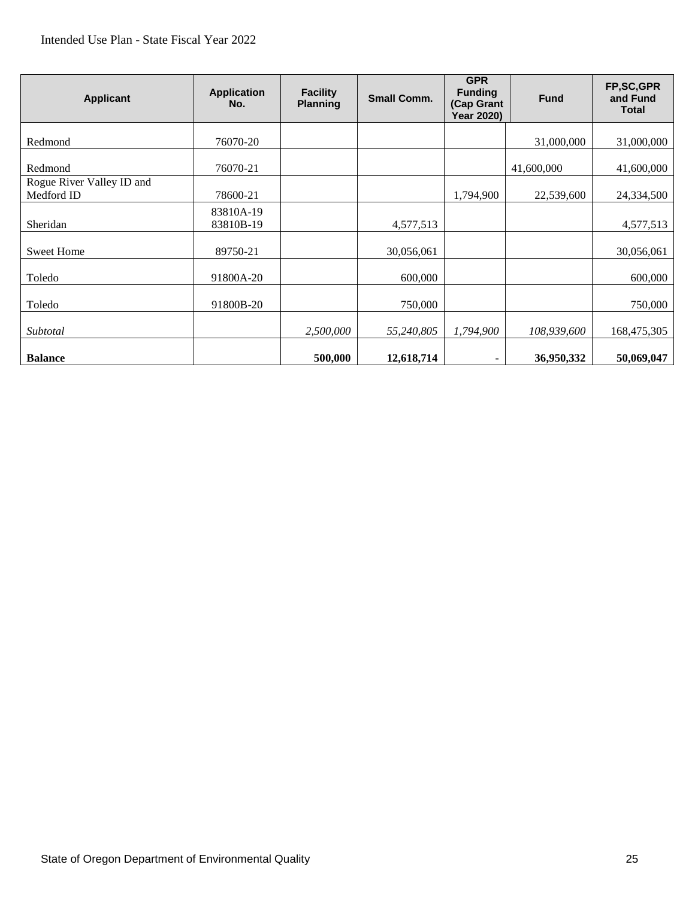#### Intended Use Plan - State Fiscal Year 2022

| <b>Applicant</b>                        | <b>Application</b><br>No. | <b>Facility</b><br><b>Planning</b> | <b>Small Comm.</b> | <b>GPR</b><br><b>Funding</b><br>(Cap Grant<br><b>Year 2020)</b> | <b>Fund</b> | FP,SC,GPR<br>and Fund<br><b>Total</b> |
|-----------------------------------------|---------------------------|------------------------------------|--------------------|-----------------------------------------------------------------|-------------|---------------------------------------|
| Redmond                                 | 76070-20                  |                                    |                    |                                                                 | 31,000,000  | 31,000,000                            |
| Redmond                                 | 76070-21                  |                                    |                    |                                                                 | 41,600,000  | 41,600,000                            |
| Rogue River Valley ID and<br>Medford ID | 78600-21                  |                                    |                    | 1,794,900                                                       | 22,539,600  | 24,334,500                            |
| Sheridan                                | 83810A-19<br>83810B-19    |                                    | 4,577,513          |                                                                 |             | 4,577,513                             |
| <b>Sweet Home</b>                       | 89750-21                  |                                    | 30,056,061         |                                                                 |             | 30,056,061                            |
| Toledo                                  | 91800A-20                 |                                    | 600,000            |                                                                 |             | 600,000                               |
| Toledo                                  | 91800B-20                 |                                    | 750,000            |                                                                 |             | 750,000                               |
| Subtotal                                |                           | 2,500,000                          | 55,240,805         | 1,794,900                                                       | 108,939,600 | 168,475,305                           |
| <b>Balance</b>                          |                           | 500,000                            | 12,618,714         |                                                                 | 36,950,332  | 50,069,047                            |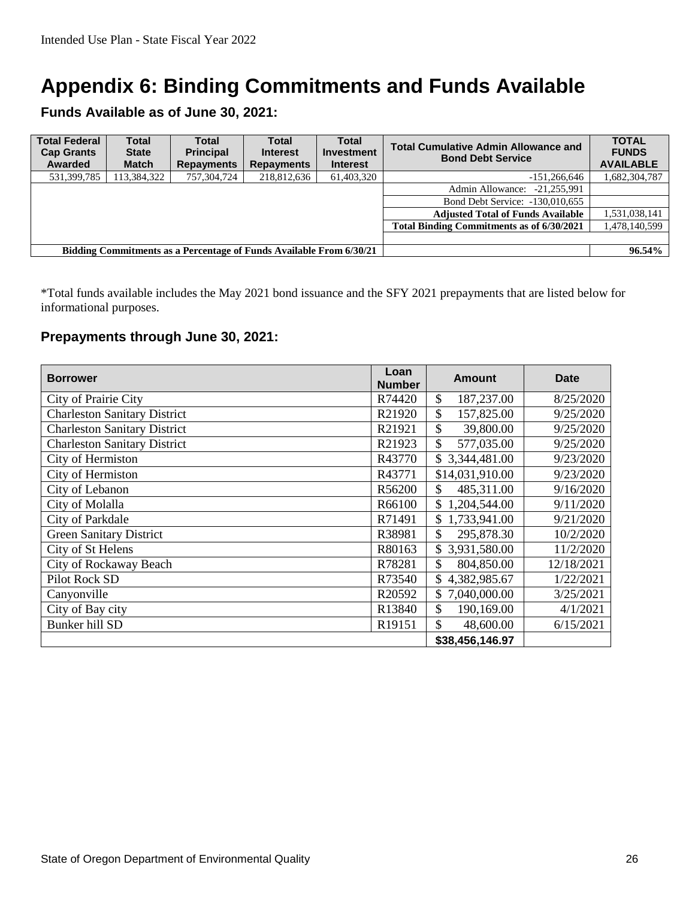### <span id="page-29-0"></span>**[Appendix 6:](#page-27-1) Binding Commitments and Funds Available**

**Funds Available as of June 30, 2021:**

| <b>Total Federal</b><br><b>Cap Grants</b><br>Awarded                | <b>Total</b><br><b>State</b><br><b>Match</b> | Total<br><b>Principal</b><br><b>Repayments</b> | <b>Total</b><br><b>Interest</b><br><b>Repayments</b> | <b>Total</b><br><b>Investment</b><br><b>Interest</b> | <b>Total Cumulative Admin Allowance and</b><br><b>Bond Debt Service</b> | <b>TOTAL</b><br><b>FUNDS</b><br><b>AVAILABLE</b> |
|---------------------------------------------------------------------|----------------------------------------------|------------------------------------------------|------------------------------------------------------|------------------------------------------------------|-------------------------------------------------------------------------|--------------------------------------------------|
| 531,399,785                                                         | 113,384,322                                  | 757,304,724                                    | 218,812,636                                          | 61.403.320                                           | $-151,266,646$                                                          | 1,682,304,787                                    |
|                                                                     |                                              |                                                |                                                      |                                                      | $-21.255.991$<br>Admin Allowance:                                       |                                                  |
|                                                                     |                                              |                                                |                                                      |                                                      | Bond Debt Service: -130.010.655                                         |                                                  |
|                                                                     |                                              |                                                |                                                      |                                                      | <b>Adjusted Total of Funds Available</b>                                | 1,531,038,141                                    |
|                                                                     |                                              |                                                |                                                      |                                                      | <b>Total Binding Commitments as of 6/30/2021</b>                        | 1,478,140,599                                    |
|                                                                     |                                              |                                                |                                                      |                                                      |                                                                         |                                                  |
| Bidding Commitments as a Percentage of Funds Available From 6/30/21 |                                              |                                                |                                                      |                                                      | 96.54%                                                                  |                                                  |

\*Total funds available includes the May 2021 bond issuance and the SFY 2021 prepayments that are listed below for informational purposes.

#### **Prepayments through June 30, 2021:**

| <b>Borrower</b>                     | Loan<br><b>Number</b> | <b>Amount</b>               | <b>Date</b> |
|-------------------------------------|-----------------------|-----------------------------|-------------|
| City of Prairie City                | R74420                | $\mathcal{S}$<br>187,237.00 | 8/25/2020   |
| <b>Charleston Sanitary District</b> | R21920                | \$<br>157,825.00            | 9/25/2020   |
| <b>Charleston Sanitary District</b> | R21921                | \$<br>39,800.00             | 9/25/2020   |
| <b>Charleston Sanitary District</b> | R21923                | \$<br>577,035.00            | 9/25/2020   |
| City of Hermiston                   | R43770                | \$3,344,481.00              | 9/23/2020   |
| City of Hermiston                   | R43771                | \$14,031,910.00             | 9/23/2020   |
| City of Lebanon                     | R56200                | \$<br>485,311.00            | 9/16/2020   |
| City of Molalla                     | R66100                | \$<br>1,204,544.00          | 9/11/2020   |
| City of Parkdale                    | R71491                | 1,733,941.00<br>\$          | 9/21/2020   |
| <b>Green Sanitary District</b>      | R38981                | \$<br>295,878.30            | 10/2/2020   |
| City of St Helens                   | R80163                | \$3,931,580.00              | 11/2/2020   |
| City of Rockaway Beach              | R78281                | \$<br>804,850.00            | 12/18/2021  |
| Pilot Rock SD                       | R73540                | \$4,382,985.67              | 1/22/2021   |
| Canyonville                         | R20592                | \$7,040,000.00              | 3/25/2021   |
| City of Bay city                    | R13840                | \$<br>190,169.00            | 4/1/2021    |
| Bunker hill SD                      | R19151                | \$<br>48,600.00             | 6/15/2021   |
|                                     |                       | \$38,456,146.97             |             |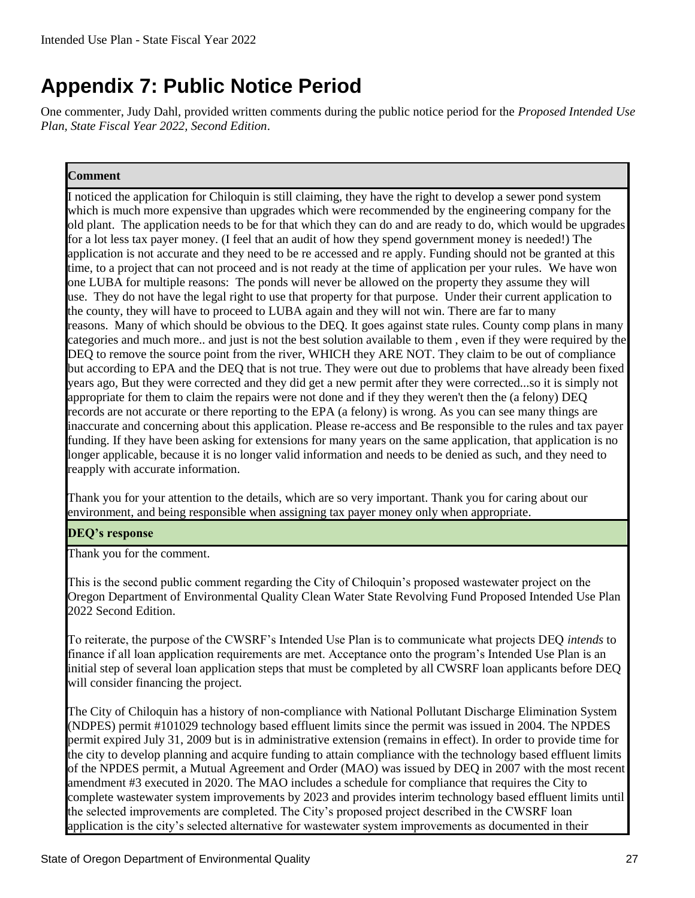### <span id="page-30-0"></span>**Appendix 7: Public Notice Period**

One commenter, Judy Dahl, provided written comments during the public notice period for the *Proposed Intended Use Plan, State Fiscal Year 2022, Second Edition*.

#### **Comment**

I noticed the application for Chiloquin is still claiming, they have the right to develop a sewer pond system which is much more expensive than upgrades which were recommended by the engineering company for the old plant. The application needs to be for that which they can do and are ready to do, which would be upgrades for a lot less tax payer money. (I feel that an audit of how they spend government money is needed!) The application is not accurate and they need to be re accessed and re apply. Funding should not be granted at this time, to a project that can not proceed and is not ready at the time of application per your rules. We have won one LUBA for multiple reasons: The ponds will never be allowed on the property they assume they will use. They do not have the legal right to use that property for that purpose. Under their current application to the county, they will have to proceed to LUBA again and they will not win. There are far to many reasons. Many of which should be obvious to the DEQ. It goes against state rules. County comp plans in many categories and much more.. and just is not the best solution available to them , even if they were required by the DEQ to remove the source point from the river, WHICH they ARE NOT. They claim to be out of compliance but according to EPA and the DEQ that is not true. They were out due to problems that have already been fixed years ago, But they were corrected and they did get a new permit after they were corrected...so it is simply not appropriate for them to claim the repairs were not done and if they they weren't then the (a felony) DEQ records are not accurate or there reporting to the EPA (a felony) is wrong. As you can see many things are inaccurate and concerning about this application. Please re-access and Be responsible to the rules and tax payer funding. If they have been asking for extensions for many years on the same application, that application is no longer applicable, because it is no longer valid information and needs to be denied as such, and they need to reapply with accurate information.

Thank you for your attention to the details, which are so very important. Thank you for caring about our environment, and being responsible when assigning tax payer money only when appropriate.

#### **DEQ's response**

Thank you for the comment.

This is the second public comment regarding the City of Chiloquin's proposed wastewater project on the Oregon Department of Environmental Quality Clean Water State Revolving Fund Proposed Intended Use Plan 2022 Second Edition.

To reiterate, the purpose of the CWSRF's Intended Use Plan is to communicate what projects DEQ *intends* to finance if all loan application requirements are met. Acceptance onto the program's Intended Use Plan is an initial step of several loan application steps that must be completed by all CWSRF loan applicants before DEQ will consider financing the project.

The City of Chiloquin has a history of non-compliance with National Pollutant Discharge Elimination System (NDPES) permit #101029 technology based effluent limits since the permit was issued in 2004. The NPDES permit expired July 31, 2009 but is in administrative extension (remains in effect). In order to provide time for the city to develop planning and acquire funding to attain compliance with the technology based effluent limits of the NPDES permit, a Mutual Agreement and Order (MAO) was issued by DEQ in 2007 with the most recent amendment #3 executed in 2020. The MAO includes a schedule for compliance that requires the City to complete wastewater system improvements by 2023 and provides interim technology based effluent limits until the selected improvements are completed. The City's proposed project described in the CWSRF loan application is the city's selected alternative for wastewater system improvements as documented in their